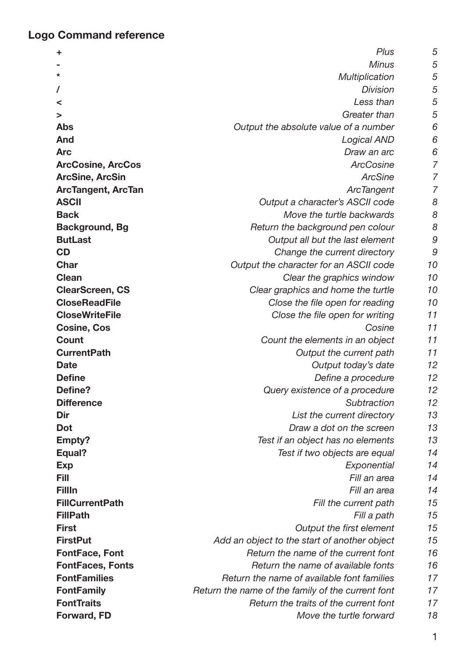## **Logo Command reference**

| ÷                         | Plus                                              | 5  |
|---------------------------|---------------------------------------------------|----|
|                           | <b>Minus</b>                                      | 5  |
| *                         | Multiplication                                    | 5  |
|                           | <b>Division</b>                                   | 5  |
| <                         | Less than                                         | 5  |
| >                         | Greater than                                      | 5  |
| <b>Abs</b>                | Output the absolute value of a number             | 6  |
| And                       | <b>Logical AND</b>                                | 6  |
| <b>Arc</b>                | Draw an arc                                       | 6  |
| <b>ArcCosine, ArcCos</b>  | <b>ArcCosine</b>                                  | 7  |
| <b>ArcSine, ArcSin</b>    | <b>ArcSine</b>                                    | 7  |
| <b>ArcTangent, ArcTan</b> | <b>ArcTangent</b>                                 | 7  |
| <b>ASCII</b>              | Output a character's ASCII code                   | 8  |
| <b>Back</b>               | Move the turtle backwards                         | 8  |
| <b>Background, Bg</b>     | Return the background pen colour                  | 8  |
| <b>ButLast</b>            | Output all but the last element                   | 9  |
| CD                        | Change the current directory                      | 9  |
| <b>Char</b>               | Output the character for an ASCII code            | 10 |
| <b>Clean</b>              | Clear the graphics window                         |    |
| <b>ClearScreen, CS</b>    | Clear graphics and home the turtle                | 10 |
| <b>CloseReadFile</b>      | Close the file open for reading                   |    |
| <b>CloseWriteFile</b>     | Close the file open for writing                   | 11 |
| <b>Cosine, Cos</b>        | Cosine                                            | 11 |
| <b>Count</b>              | Count the elements in an object                   | 11 |
| <b>CurrentPath</b>        | Output the current path                           | 11 |
| <b>Date</b>               | Output today's date                               | 12 |
| <b>Define</b>             | Define a procedure                                | 12 |
| Define?                   | Query existence of a procedure                    | 12 |
| <b>Difference</b>         | Subtraction                                       | 12 |
| Dir                       | List the current directory                        | 13 |
| <b>Dot</b>                | Draw a dot on the screen                          | 13 |
| Empty?                    | Test if an object has no elements                 | 13 |
| Equal?                    | Test if two objects are equal                     | 14 |
| <b>Exp</b>                | Exponential                                       | 14 |
| Fill                      | Fill an area                                      | 14 |
| <b>FillIn</b>             | Fill an area                                      | 14 |
| <b>FillCurrentPath</b>    | Fill the current path                             | 15 |
| <b>FillPath</b>           | Fill a path                                       | 15 |
| <b>First</b>              | Output the first element                          | 15 |
| <b>FirstPut</b>           | Add an object to the start of another object      | 15 |
| <b>FontFace, Font</b>     | Return the name of the current font               | 16 |
| <b>FontFaces, Fonts</b>   | Return the name of available fonts                | 16 |
| <b>FontFamilies</b>       | Return the name of available font families        | 17 |
| <b>FontFamily</b>         | Return the name of the family of the current font | 17 |
| <b>FontTraits</b>         | Return the traits of the current font             | 17 |
| Forward, FD               | Move the turtle forward                           | 18 |

1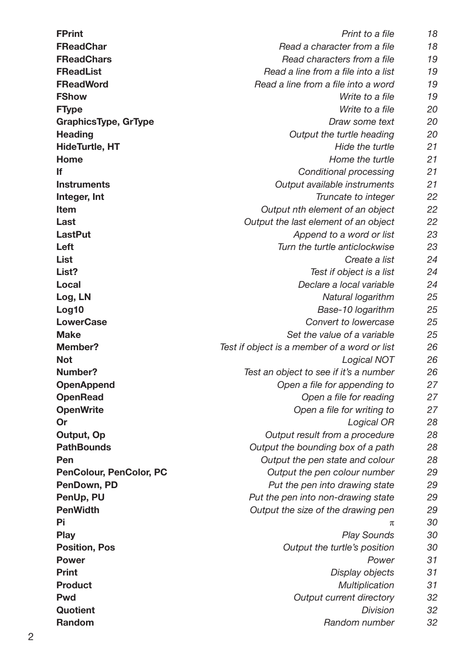| <b>FPrint</b>               | Print to a file                              | 18 |  |
|-----------------------------|----------------------------------------------|----|--|
| <b>FReadChar</b>            | Read a character from a file                 |    |  |
| <b>FReadChars</b>           | Read characters from a file                  | 19 |  |
| <b>FReadList</b>            | Read a line from a file into a list          | 19 |  |
| <b>FReadWord</b>            | Read a line from a file into a word          | 19 |  |
| <b>FShow</b>                | Write to a file                              | 19 |  |
| <b>FType</b>                | Write to a file                              | 20 |  |
| <b>GraphicsType, GrType</b> | Draw some text                               | 20 |  |
| <b>Heading</b>              | Output the turtle heading                    | 20 |  |
| <b>HideTurtle, HT</b>       | Hide the turtle                              | 21 |  |
| Home                        | Home the turtle                              | 21 |  |
| lf                          | <b>Conditional processing</b>                | 21 |  |
| <b>Instruments</b>          | Output available instruments                 | 21 |  |
| Integer, Int                | Truncate to integer                          | 22 |  |
| <b>Item</b>                 | Output nth element of an object              | 22 |  |
| Last                        | Output the last element of an object         | 22 |  |
| <b>LastPut</b>              | Append to a word or list                     | 23 |  |
| Left                        | Turn the turtle anticlockwise                | 23 |  |
| List                        | Create a list                                | 24 |  |
| List?                       | Test if object is a list                     | 24 |  |
| Local                       | Declare a local variable                     | 24 |  |
| Log, LN                     | Natural logarithm                            | 25 |  |
| Log10                       | Base-10 logarithm                            | 25 |  |
| <b>LowerCase</b>            | Convert to lowercase                         | 25 |  |
| <b>Make</b>                 | Set the value of a variable                  | 25 |  |
| <b>Member?</b>              | Test if object is a member of a word or list | 26 |  |
| <b>Not</b>                  | Logical NOT                                  | 26 |  |
| Number?                     | Test an object to see if it's a number       | 26 |  |
| <b>OpenAppend</b>           | Open a file for appending to                 | 27 |  |
| <b>OpenRead</b>             | Open a file for reading                      | 27 |  |
| <b>OpenWrite</b>            | Open a file for writing to                   | 27 |  |
| Or                          | Logical OR                                   | 28 |  |
| Output, Op                  | Output result from a procedure               | 28 |  |
| <b>PathBounds</b>           | Output the bounding box of a path            | 28 |  |
| Pen                         | Output the pen state and colour              | 28 |  |
| PenColour, PenColor, PC     | Output the pen colour number                 | 29 |  |
| PenDown, PD                 | Put the pen into drawing state               | 29 |  |
| PenUp, PU                   | Put the pen into non-drawing state           | 29 |  |
| <b>PenWidth</b>             | Output the size of the drawing pen           | 29 |  |
| Pi                          | π                                            | 30 |  |
| <b>Play</b>                 | <b>Play Sounds</b>                           | 30 |  |
| <b>Position, Pos</b>        | Output the turtle's position                 | 30 |  |
| <b>Power</b>                | Power                                        | 31 |  |
| <b>Print</b>                | Display objects                              | 31 |  |
| <b>Product</b>              | Multiplication                               | 31 |  |
| <b>Pwd</b>                  | <b>Output current directory</b>              | 32 |  |
| Quotient                    | <b>Division</b>                              | 32 |  |
| Random                      | Random number                                | 32 |  |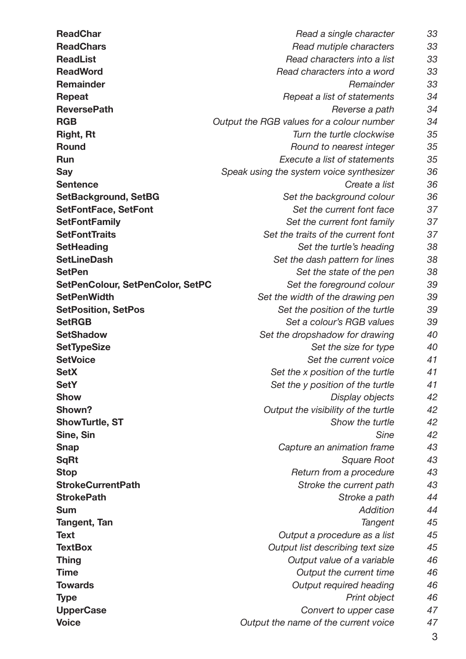$3$ **[ReadChar](#page-32-0)** *[Read a single character](#page-32-0) [33](#page-32-0)* **[ReadChars](#page-32-0)** *[Read mutiple characters](#page-32-0) [33](#page-32-0)* **[ReadList](#page-32-0)** *[Read characters into a list](#page-32-0) [33](#page-32-0)* **[ReadWord](#page-32-0)** *[Read characters into a word](#page-32-0) [33](#page-32-0)* **[Remainder](#page-32-0)** *[Remainder](#page-32-0) [33](#page-32-0)* **[Repeat](#page-33-0)** *[Repeat a list of statements](#page-33-0) [34](#page-33-0)* **[ReversePath](#page-33-0)** *[Reverse a path](#page-33-0) [34](#page-33-0)* **[RGB](#page-33-0)** *[Output the RGB values for a colour number](#page-33-0) [34](#page-33-0)* **[Right, Rt](#page-34-0)** *[Turn the turtle clockwise](#page-34-0) [35](#page-34-0)* **[Round](#page-34-0)** *[Round to nearest integer](#page-34-0) [35](#page-34-0)* **[Run](#page-34-0)** *[Execute a list of statements](#page-34-0) [35](#page-34-0)* **[Say](#page-35-0)** *[Speak using the system voice synthesizer](#page-35-0) [36](#page-35-0)* **[Sentence](#page-35-0)** *[Create a list](#page-35-0) [36](#page-35-0)* **[SetBackground, SetBG](#page-35-0)** *[Set the background colour](#page-35-0) [36](#page-35-0)* **[SetFontFace, SetFont](#page-36-0)** *[Set the current font face](#page-36-0) [37](#page-36-0)* **[SetFontFamily](#page-36-0)** *[Set the current font family](#page-36-0) [37](#page-36-0)* **[SetFontTraits](#page-36-0)** *[Set the traits of the current font](#page-36-0) [37](#page-36-0)* **[SetHeading](#page-37-0)** *[Set the turtle's heading](#page-37-0) [38](#page-37-0)* **[SetLineDash](#page-37-0)** *[Set the dash pattern for lines](#page-37-0) [38](#page-37-0)* **[SetPen](#page-37-0)** *[Set the state of the pen](#page-37-0) [38](#page-37-0)* **[SetPenColour, SetPenColor, SetPC](#page-38-0)** *[Set the foreground colour](#page-38-0) [39](#page-38-0)* **[SetPenWidth](#page-38-0)** *[Set the width of the drawing pen](#page-38-0) [39](#page-38-0)* **[SetPosition, SetPos](#page-38-0)** *[Set the position of the turtle](#page-38-0) [39](#page-38-0)* **[SetRGB](#page-38-0)** *[Set a colour's RGB values](#page-38-0) [39](#page-38-0)* **[SetShadow](#page-39-0)** *[Set the dropshadow for drawing](#page-39-0) [40](#page-39-0)* **[SetTypeSize](#page-39-0)** *[Set the size for type](#page-39-0) [40](#page-39-0)* **[SetVoice](#page-40-0)** *[Set the current voice](#page-40-0) [41](#page-40-0)* **[SetX](#page-40-0)** *[Set the x position of the turtle](#page-40-0) [41](#page-40-0)* **[SetY](#page-40-0)** *[Set the y position of the turtle](#page-40-0) [41](#page-40-0)* **[Show](#page-41-0)** *[Display objects](#page-41-0) [42](#page-41-0)* **[Shown?](#page-41-0)** *[Output the visibility of the turtle](#page-41-0) [42](#page-41-0)* **[ShowTurtle, ST](#page-41-0)** *[Show the turtle](#page-41-0) [42](#page-41-0)* **[Sine, Sin](#page-41-0)** *[Sine](#page-41-0) [42](#page-41-0)* **[Snap](#page-42-0)** *[Capture an animation frame](#page-42-0) [43](#page-42-0)* **[SqRt](#page-42-0)** *[Square Root](#page-42-0) [43](#page-42-0)* **[Stop](#page-42-0)** *[Return from a procedure](#page-42-0) [43](#page-42-0)* **[StrokeCurrentPath](#page-42-0)** *[Stroke the current path](#page-42-0) [43](#page-42-0)* **[StrokePath](#page-43-0)** *[Stroke a path](#page-43-0) [44](#page-43-0)* **[Sum](#page-43-0)** *[Addition](#page-43-0) [44](#page-43-0)* **[Tangent, Tan](#page-44-0)** *[Tangent](#page-44-0) [45](#page-44-0)* **[Text](#page-44-0)** *[Output a procedure as a list](#page-44-0) [45](#page-44-0)* **[TextBox](#page-44-0)** *[Output list describing text size](#page-44-0) [45](#page-44-0)* **[Thing](#page-45-0)** *[Output value of a variable](#page-45-0) [46](#page-45-0)* **[Time](#page-45-0)** *All the current time A6* **[Towards](#page-45-0)** *[Output required heading](#page-45-0) [46](#page-45-0)* **[Type](#page-45-0)** *[Print object](#page-45-0) [46](#page-45-0)* **[UpperCase](#page-46-0)** *[Convert to upper case](#page-46-0) [47](#page-46-0)* **[Voice](#page-46-0)** *[Output the name of the current voice](#page-46-0) [47](#page-46-0)*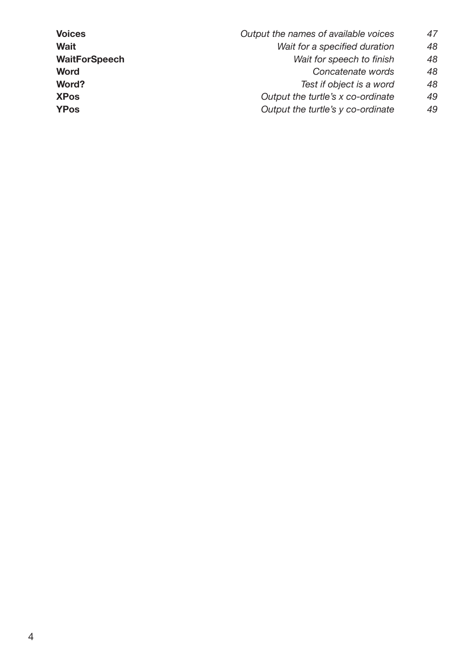**[Voices](#page-46-0)** *[Output the names of available voices](#page-46-0) [47](#page-46-0)* **[Wait](#page-47-0)** *[Wait for a specified duration](#page-47-0) [48](#page-47-0)* **[WaitForSpeech](#page-47-0)** *[Wait for speech to finish](#page-47-0) [48](#page-47-0)* **[Word](#page-47-0)** *[Concatenate words](#page-47-0) [48](#page-47-0)* **[Word?](#page-47-0)** *[Test if object is a word](#page-47-0) [48](#page-47-0)* **[XPos](#page-48-0)** *[Output the turtle's x co-ordinate](#page-48-0) [49](#page-48-0)* **[YPos](#page-48-0)** *[Output the turtle's y co-ordinate](#page-48-0) [49](#page-48-0)*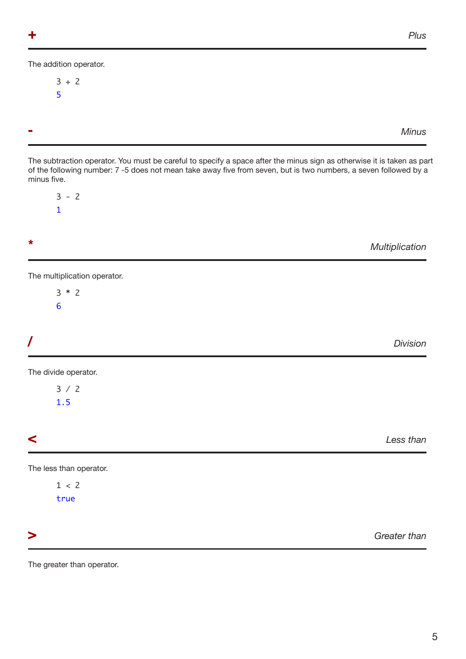<span id="page-4-3"></span><span id="page-4-0"></span>The addition operator.

$$
\begin{array}{c} 3 + 2 \\ 5 \end{array}
$$

<span id="page-4-4"></span>**-** *Minus*

The subtraction operator. You must be careful to specify a space after the minus sign as otherwise it is taken as part of the following number: 7 -5 does not mean take away five from seven, but is two numbers, a seven followed by a minus five.

 $3 - 2$ 1

<span id="page-4-5"></span>

The multiplication operator.

3 \* 2 6

<span id="page-4-6"></span>

| Division |
|----------|
|          |

The divide operator.

3 / 2 1.5

<span id="page-4-1"></span>**<** *Less than*

The less than operator.

 $1 < 2$ true

<span id="page-4-2"></span>**>** *Greater than*

The greater than operator.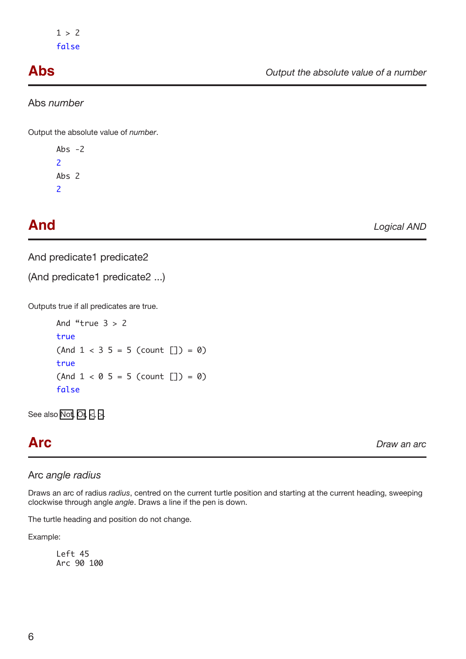<span id="page-5-0"></span>Abs *number*

Output the absolute value of *number*.

Abs  $-2$ 2 Abs 2 2

<span id="page-5-1"></span>**And** *Logical AND*

And predicate1 predicate2

(And predicate1 predicate2 ...)

Outputs true if all predicates are true.

And "true  $3 > 2$ true  $(And 1 < 3 5 = 5 (count [] ) = 0)$ true  $(And 1 < 0 5 = 5 (count [] ) = 0)$ false

See also [Not](#page-25-1), [Or,](#page-27-1) [<](#page-4-1), [>.](#page-4-2)

**Arc** *Draw an arc*

## Arc *angle radius*

Draws an arc of radius *radius*, centred on the current turtle position and starting at the current heading, sweeping clockwise through angle *angle*. Draws a line if the pen is down.

The turtle heading and position do not change.

Example:

Left 45 Arc 90 100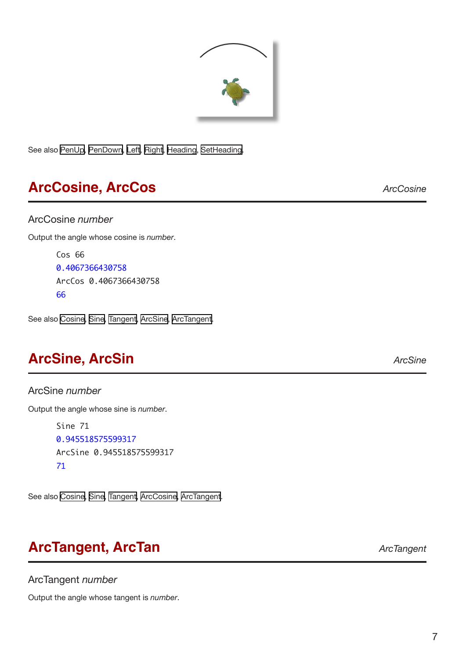

<span id="page-6-0"></span>See also [PenUp,](#page-28-1) [PenDown,](#page-28-2) [Left](#page-20-1), [Right](#page-34-1), [Heading](#page-19-1), [SetHeading](#page-37-1).

## <span id="page-6-3"></span>**ArcCosine, ArcCos** *ArcCosine*

### ArcCosine *number*

Output the angle whose cosine is *number*.

Cos 66 0.4067366430758 ArcCos 0.4067366430758 66

See also [Cosine](#page-10-1), [Sine](#page-41-1), [Tangent](#page-44-1), [ArcSine,](#page-6-1) [ArcTangent](#page-6-2).

## <span id="page-6-1"></span>**ArcSine, ArcSin** *ArcSine*

ArcSine *number* Output the angle whose sine is *number*.

> Sine 71 0.945518575599317 ArcSine 0.945518575599317 71

See also [Cosine](#page-10-1), [Sine](#page-41-1), [Tangent](#page-44-1), [ArcCosine](#page-6-3), [ArcTangent.](#page-6-2)

## <span id="page-6-2"></span>**ArcTangent, ArcTan** *ArcTangent*

ArcTangent *number*

Output the angle whose tangent is *number*.

6 7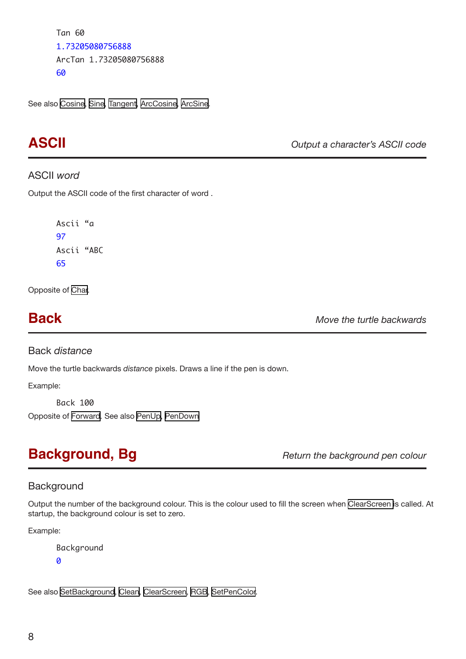```
Tan 60
1.73205080756888
ArcTan 1.73205080756888
60
```
See also [Cosine](#page-10-1), [Sine](#page-41-1), [Tangent](#page-44-1), [ArcCosine](#page-6-3), [ArcSine](#page-6-1).

**ASCII** *Output a character's ASCII code*

## ASCII *word*

Output the ASCII code of the first character of word .

Ascii "a 97 Ascii "ABC 65

Opposite of [Char.](#page-9-1)

<span id="page-7-2"></span>**Back** *Move the turtle backwards*

Back *distance*

Move the turtle backwards *distance* pixels. Draws a line if the pen is down.

Example:

Back 100 Opposite of [Forward](#page-17-1). See also [PenUp](#page-28-1), [PenDown](#page-28-2)

<span id="page-7-1"></span>**Background, Bg** *Return the background pen colour Return the background pen colour* 

## **Background**

Output the number of the background colour. This is the colour used to fill the screen when [ClearScreen](#page-9-2) is called. At startup, the background colour is set to zero.

Example:

```
Background 
0
```
See also [SetBackground,](#page-34-2) [Clean,](#page-9-3) [ClearScreen](#page-9-2), [RGB](#page-30-1), [SetPenColor](#page-38-1).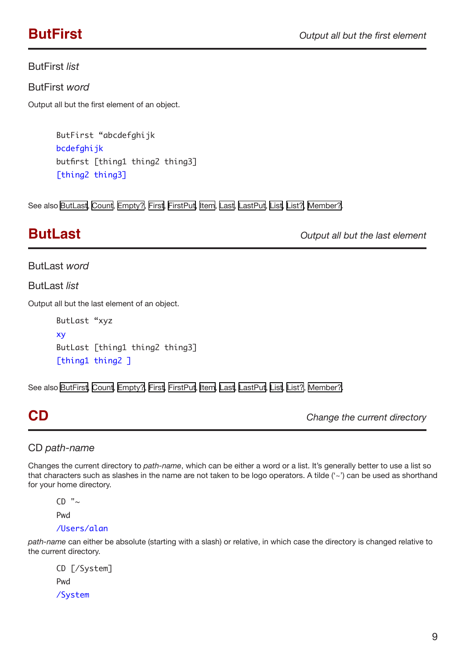### <span id="page-8-2"></span><span id="page-8-0"></span>ButFirst *list*

ButFirst *word* 

Output all but the first element of an object.

ButFirst "abcdefghijk bcdefghijk butfirst [thing1 thing2 thing3] [thing2 thing3]

See also [ButLast,](#page-8-1) [Count,](#page-10-2) [Empty?](#page-12-1), [First](#page-14-1), [FirstPut,](#page-14-2) [Item,](#page-20-1) [Last](#page-21-1), [LastPut](#page-22-1), [List,](#page-23-1) [List?,](#page-23-2) [Member?](#page-24-1).

<span id="page-8-1"></span>**ButLast** *Output all but the last element*

### **ButLast** *word*

**ButLast list** 

Output all but the last element of an object.

ButLast "xyz xy ButLast [thing1 thing2 thing3] [thing1 thing2 ]

See also [ButFirst](#page-8-2), [Count,](#page-10-2) [Empty?,](#page-12-1) [First,](#page-14-1) [FirstPut,](#page-14-2) [Item](#page-20-1), [Last,](#page-21-1) [LastPut,](#page-22-1) [List](#page-23-1), [List?](#page-23-2), [Member?](#page-24-1).

<span id="page-8-3"></span>**CD** *Change the current directory*

## CD *path-name*

Changes the current directory to *path-name*, which can be either a word or a list. It's generally better to use a list so that characters such as slashes in the name are not taken to be logo operators. A tilde ('~') can be used as shorthand for your home directory.

 $CD$  " $\sim$ 

Pwd

### /Users/alan

*path-name* can either be absolute (starting with a slash) or relative, in which case the directory is changed relative to the current directory.

CD [/System] Pwd /System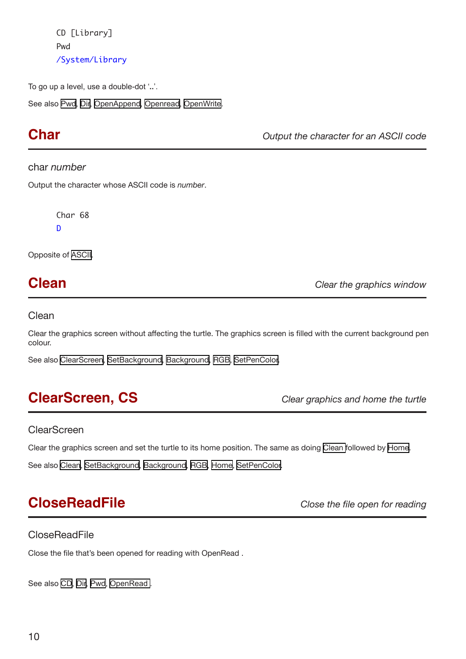<span id="page-9-0"></span>CD [Library] Pwd /System/Library

To go up a level, use a double-dot '**..**'.

See also [Pwd](#page-31-1), [Dir,](#page-12-2) [OpenAppend](#page-26-1), [Openread](#page-26-2), [OpenWrite.](#page-26-3)

<span id="page-9-1"></span>**Char** *Output the character for an ASCII code*

### char *number*

Output the character whose ASCII code is *number*.

Char 68 D

Opposite of [ASCII.](#page-6-3)

<span id="page-9-3"></span>**Clean** *Clear the graphics window*

### Clean

Clear the graphics screen without affecting the turtle. The graphics screen is filled with the current background pen colour.

See also [ClearScreen,](#page-9-2) [SetBackground,](#page-34-2) [Background,](#page-7-1) [RGB,](#page-30-1) [SetPenColor](#page-38-1).

## <span id="page-9-2"></span>**ClearScreen, CS** *Clear graphics and home the turtle*

### **ClearScreen**

Clear the graphics screen and set the turtle to its home position. The same as doing [Clean](#page-9-3) followed by [Home.](#page-20-2)

See also [Clean,](#page-9-3) [SetBackground,](#page-34-2) [Background,](#page-7-1) [RGB,](#page-30-1) [Home](#page-20-2), [SetPenColor](#page-38-1).

## <span id="page-9-4"></span>**CloseReadFile** *Close the file open for reading*

## **CloseReadFile**

Close the file that's been opened for reading with OpenRead .

See also [CD](#page-8-3), [Dir,](#page-12-2) [Pwd,](#page-31-1) [OpenRead .](#page-26-2)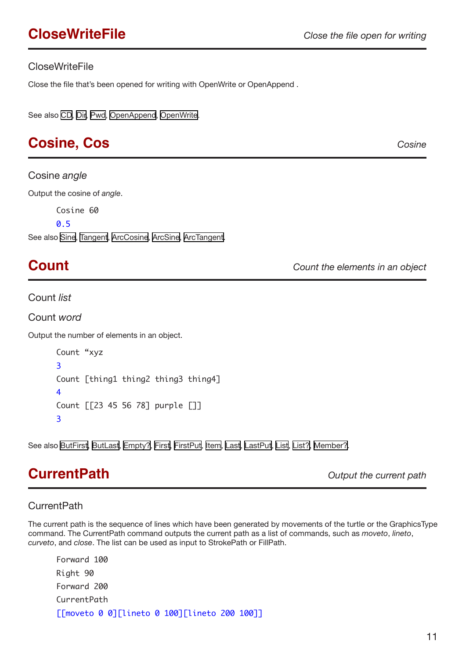## <span id="page-10-3"></span><span id="page-10-0"></span>CloseWriteFile

Close the file that's been opened for writing with OpenWrite or OpenAppend .

See also [CD](#page-8-3), [Dir,](#page-12-2) [Pwd,](#page-31-1) [OpenAppend](#page-26-1), [OpenWrite.](#page-26-3)

## <span id="page-10-1"></span>**Cosine, Cos** *Cosine*

Cosine *angle*

Output the cosine of *angle*.

Cosine 60

0.5

See also [Sine,](#page-41-1) [Tangent,](#page-44-1) [ArcCosine](#page-6-3), [ArcSine,](#page-6-1) [ArcTangent](#page-6-2).

<span id="page-10-2"></span>**Count** *Count the elements in an object*

Count *list* 

Count *word* 

Output the number of elements in an object.

Count "xyz 3 Count [thing1 thing2 thing3 thing4] 4 Count [[23 45 56 78] purple []] 3

See also [ButFirst](#page-8-2), [ButLast](#page-8-1), [Empty?](#page-12-1), [First](#page-14-1), [FirstPut](#page-14-2), [Item,](#page-20-1) [Last](#page-21-1), [LastPut](#page-22-1), [List](#page-23-1), [List?,](#page-23-2) [Member?.](#page-24-1)

## <span id="page-10-4"></span>**CurrentPath** *Output the current path*

## **CurrentPath**

The current path is the sequence of lines which have been generated by movements of the turtle or the GraphicsType command. The CurrentPath command outputs the current path as a list of commands, such as *moveto*, *lineto*, *curveto*, and *close*. The list can be used as input to StrokePath or FillPath.

Forward 100 Right 90 Forward 200 CurrentPath [[moveto 0 0][lineto 0 100][lineto 200 100]]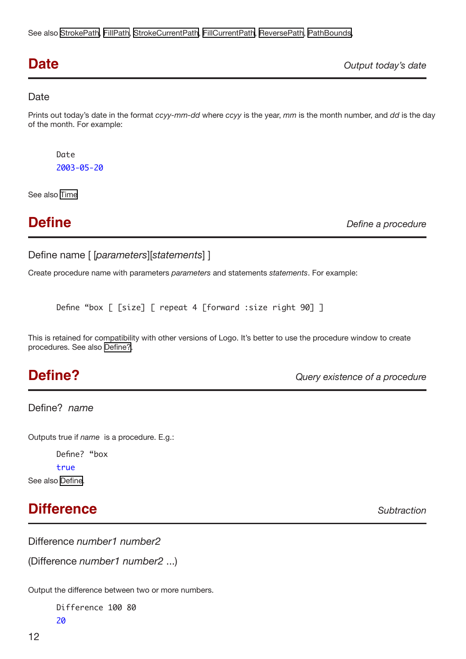<span id="page-11-0"></span>See also [StrokePath,](#page-41-1) [FillPath](#page-14-3), [StrokeCurrentPath,](#page-42-1) [FillCurrentPath,](#page-14-3) [ReversePath](#page-33-1), [PathBounds,](#page-27-2)

<span id="page-11-3"></span>

| <b>Date</b> | Output today's date |
|-------------|---------------------|
|             |                     |

## **Date**

Prints out today's date in the format *ccyy-mm-dd* where *ccyy* is the year, *mm* is the month number, and *dd* is the day of the month. For example:

Date 2003-05-20

See also [Time](#page-45-1)

<span id="page-11-2"></span>

**Define** *Define a procedure*

```
Define name [ [parameters][statements] ]
```
Create procedure name with parameters *parameters* and statements *statements*. For example:

```
Define "box [ [size] [ repeat 4 [forward :size right 90] ]
```
This is retained for compatibility with other versions of Logo. It's better to use the procedure window to create procedures. See also [Define?](#page-11-1).

<span id="page-11-1"></span>**Define?** *Query existence of a procedure*

Define? *name*

Outputs true if *name* is a procedure. E.g.:

Define? "box

true

See also [Define.](#page-11-2)

# **Difference** *Subtraction*

Difference *number1 number2*

(Difference *number1 number2* ...)

Output the difference between two or more numbers.

Difference 100 80 20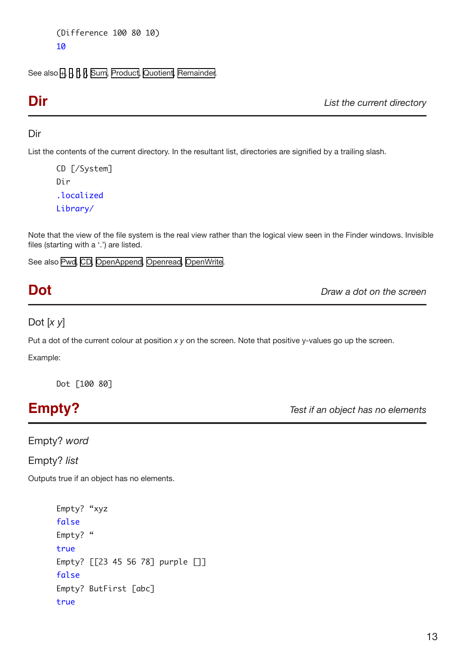```
(Difference 100 80 10)
10
```
See also [+](#page-4-3), [-,](#page-4-4) [\\*,](#page-4-5) [/,](#page-4-6) [Sum,](#page-43-1) [Product,](#page-30-2) [Quotient,](#page-31-2) [Remainder.](#page-32-1)

<span id="page-12-2"></span>**Dir** *List the current directory*

## Dir

List the contents of the current directory. In the resultant list, directories are signified by a trailing slash.

CD [/System] Dir .localized Library/

Note that the view of the file system is the real view rather than the logical view seen in the Finder windows. Invisible files (starting with a '.') are listed.

See also [Pwd](#page-31-1), [CD](#page-8-3), [OpenAppend,](#page-26-1) [Openread,](#page-26-2) [OpenWrite.](#page-26-3)

**Dot** *Draw a dot on the screen*

Dot [*x y*]

Put a dot of the current colour at position *x y* on the screen. Note that positive y-values go up the screen.

Example:

Dot [100 80]

<span id="page-12-1"></span>**Empty?** *Test if an object has no elements*

Empty? *word* 

Empty? *list* 

Outputs true if an object has no elements.

```
Empty? "xyz 
false 
Empty? "
true 
Empty? [[23 45 56 78] purple []] 
false 
Empty? ButFirst [abc] 
true
```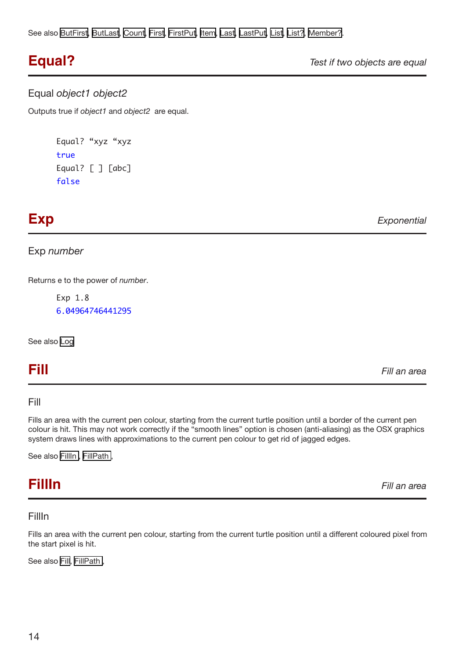<span id="page-13-0"></span>See also [ButFirst](#page-8-2), [ButLast](#page-8-1), [Count](#page-10-2), [First](#page-14-1), [FirstPut](#page-14-2), [Item](#page-20-1), [Last](#page-21-1), [LastPut,](#page-22-1) [List](#page-23-1), [List?](#page-23-2), [Member?.](#page-24-1)

**Equal?** *Test if two objects are equal*

### Equal *object1 object2*

Outputs true if *object1* and *object2* are equal.

```
Equal? "xyz "xyz 
true 
Equal? [ ] [abc]
false
```
<span id="page-13-2"></span>**Exp** *Exponential*

Exp *number*

Returns e to the power of *number*.

Exp 1.8 6.04964746441295

See also [Log](#page-23-3)

**Fill** *Fill an area*

## Fill

Fills an area with the current pen colour, starting from the current turtle position until a border of the current pen colour is hit. This may not work correctly if the "smooth lines" option is chosen (anti-aliasing) as the OSX graphics system draws lines with approximations to the current pen colour to get rid of jagged edges.

See also FillIn, FillPath,

<span id="page-13-1"></span>**FillIn** *Fill an area*

## FillIn

Fills an area with the current pen colour, starting from the current turtle position until a different coloured pixel from the start pixel is hit.

See also [Fill,](#page-13-2) FillPath,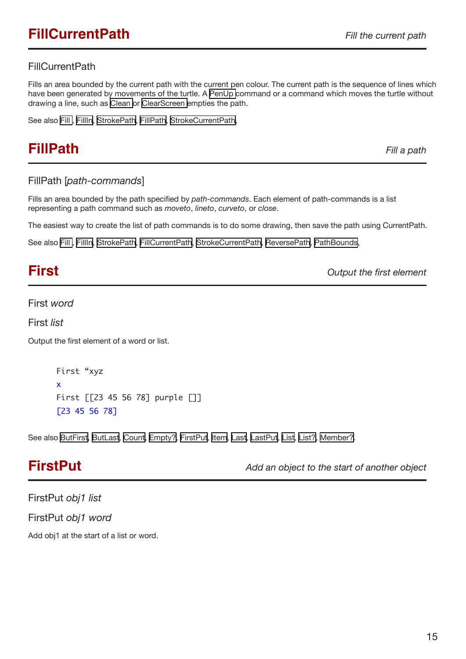## <span id="page-14-3"></span><span id="page-14-0"></span>FillCurrentPath

Fills an area bounded by the current path with the current pen colour. The current path is the sequence of lines which have been generated by movements of the turtle. A [PenUp](#page-28-1) command or a command which moves the turtle without drawing a line, such as [Clean o](#page-9-3)r [ClearScreen e](#page-9-2)mpties the path.

See also [Fill](#page-13-2) , [FillIn](#page-13-1), [StrokePath,](#page-41-1) [FillPath](#page-14-3), [StrokeCurrentPath,](#page-42-1)

## **FillPath** *Fill a path*

## FillPath [*path-commands*]

Fills an area bounded by the path specified by *path-commands*. Each element of path-commands is a list representing a path command such as *moveto*, *lineto*, *curveto*, or *close*.

The easiest way to create the list of path commands is to do some drawing, then save the path using CurrentPath.

See also [Fill](#page-13-2) , [FillIn](#page-13-1), [StrokePath,](#page-41-1) [FillCurrentPath](#page-14-3), [StrokeCurrentPath,](#page-42-1) [ReversePath](#page-33-1), [PathBounds](#page-27-2),

<span id="page-14-1"></span>**First** *Output the first element*

First *word* 

First *list* 

Output the first element of a word or list.

First "xyz x First [[23 45 56 78] purple []] [23 45 56 78]

See also [ButFirst](#page-8-2), [ButLast](#page-8-1), [Count](#page-10-2), [Empty?,](#page-12-1) [FirstPut](#page-14-2), [Item](#page-20-1), [Last,](#page-21-1) [LastPut,](#page-22-1) [List](#page-23-1), [List?](#page-23-2), [Member?.](#page-24-1)

<span id="page-14-2"></span>**FirstPut** *Add an object to the start of another object*

FirstPut *obj1 list*  FirstPut *obj1 word*

Add obj1 at the start of a list or word.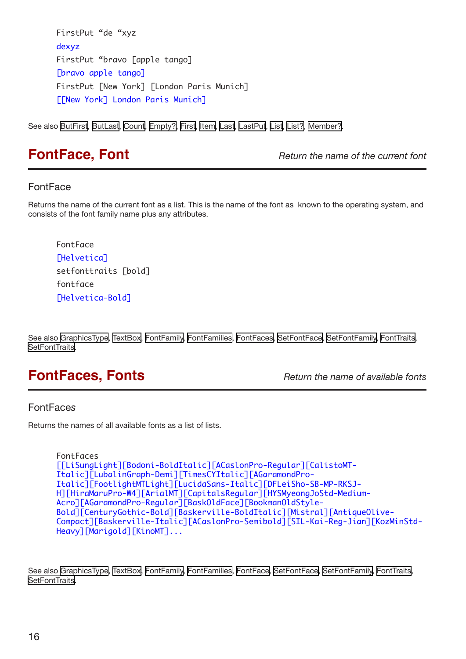<span id="page-15-0"></span>FirstPut "de "xyz dexyz FirstPut "bravo [apple tango] [bravo apple tango] FirstPut [New York] [London Paris Munich] [[New York] London Paris Munich]

See also [ButFirst](#page-8-2), [ButLast](#page-8-1), [Count](#page-10-2), [Empty?,](#page-12-1) [First,](#page-14-1) [Item](#page-20-1), [Last,](#page-21-1) [LastPut,](#page-22-1) [List](#page-23-1), [List?](#page-23-2), [Member?.](#page-24-1)

<span id="page-15-2"></span>**FontFace, Font** *CONT Return the name of the current font* 

## FontFace

Returns the name of the current font as a list. This is the name of the font as known to the operating system, and consists of the font family name plus any attributes.

FontFace [Helvetica] setfonttraits [bold] fontface [Helvetica-Bold]

See also [GraphicsType](#page-19-2), [TextBox](#page-43-1), [FontFamily](#page-16-1), [FontFamilies,](#page-16-2) [FontFaces](#page-15-1), [SetFontFace,](#page-36-1) [SetFontFamily,](#page-36-2) [FontTraits,](#page-16-3) [SetFontTraits](#page-36-3).

## <span id="page-15-1"></span>**FontFaces, Fonts** *Return the name of available fonts*

## FontFace*s*

Returns the names of all available fonts as a list of lists.

```
FontFaces 
[[LiSungLight][Bodoni-BoldItalic][ACaslonPro-Regular][CalistoMT-
Italic][LubalinGraph-Demi][TimesCYItalic][AGaramondPro-
Italic][FootlightMTLight][LucidaSans-Italic][DFLeiSho-SB-MP-RKSJ-
H][HiraMaruPro-W4][ArialMT][CapitalsRegular][HYSMyeongJoStd-Medium-
Acro][AGaramondPro-Regular][BaskOldFace][BookmanOldStyle-
Bold][CenturyGothic-Bold][Baskerville-BoldItalic][Mistral][AntiqueOlive-
Compact][Baskerville-Italic][ACaslonPro-Semibold][SIL-Kai-Reg-Jian][KozMinStd-
Heavy][Marigold][KinoMT]...
```
See also [GraphicsType](#page-19-2), [TextBox](#page-43-1), [FontFamily](#page-16-1), [FontFamilies,](#page-16-2) [FontFace](#page-15-2), [SetFontFace,](#page-36-1) [SetFontFamily,](#page-36-2) [FontTraits,](#page-16-3) **[SetFontTraits](#page-36-3)**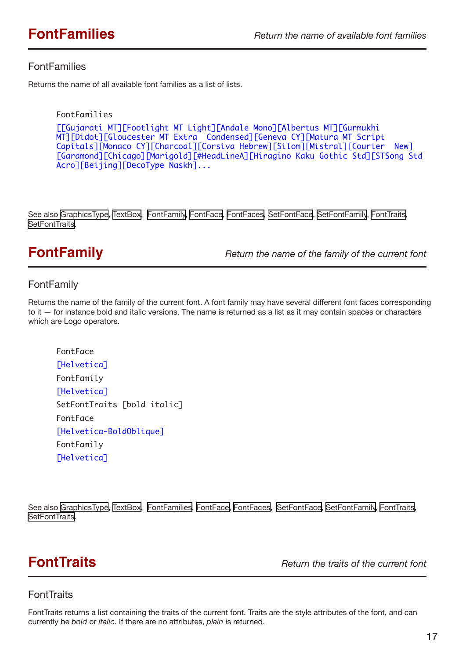## <span id="page-16-2"></span><span id="page-16-0"></span>**FontFamilies**

Returns the name of all available font families as a list of lists.

```
FontFamilies 
[[Gujarati MT][Footlight MT Light][Andale Mono][Albertus MT][Gurmukhi 
MT][Didot][Gloucester MT Extra Condensed][Geneva CY][Matura MT Script 
Capitals][Monaco CY][Charcoal][Corsiva Hebrew][Silom][Mistral][Courier New] 
[Garamond][Chicago][Marigold][#HeadLineA][Hiragino Kaku Gothic Std][STSong Std 
Acro][Beijing][DecoType Naskh]...
```
See also [GraphicsType](#page-19-2), [TextBox](#page-43-1), [FontFamily,](#page-16-1) [FontFace,](#page-15-2) [FontFaces](#page-15-1), [SetFontFace,](#page-36-1) [SetFontFamily,](#page-36-2) [FontTraits](#page-16-3), [SetFontTraits](#page-36-3).

<span id="page-16-1"></span>**FontFamily** *Return the name of the family of the current font*

## FontFamily

Returns the name of the family of the current font. A font family may have several different font faces corresponding to it — for instance bold and italic versions. The name is returned as a list as it may contain spaces or characters which are Logo operators.

```
FontFace
[Helvetica]
FontFamily
[Helvetica]
SetFontTraits [bold italic]
FontFace
[Helvetica-BoldOblique]
FontFamily
[Helvetica]
```
See also [GraphicsType](#page-19-2), [TextBox](#page-43-1), [FontFamilies](#page-16-2), [FontFace,](#page-15-2) [FontFaces](#page-15-1), [SetFontFace,](#page-36-1) [SetFontFamily,](#page-36-2) [FontTraits,](#page-16-3) [SetFontTraits](#page-36-3).

<span id="page-16-3"></span>**FontTraits** *Return the traits of the current font*

## **FontTraits**

FontTraits returns a list containing the traits of the current font. Traits are the style attributes of the font, and can currently be *bold* or *italic*. If there are no attributes, *plain* is returned.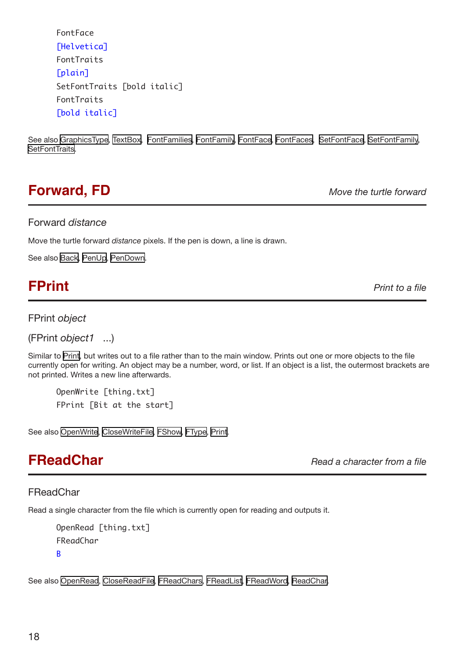<span id="page-17-0"></span>FontFace [Helvetica] FontTraits [plain] SetFontTraits [bold italic] FontTraits [bold italic]

See also [GraphicsType](#page-19-2), [TextBox](#page-43-1), [FontFamilies](#page-16-2), [FontFamily](#page-16-1), [FontFace,](#page-15-2) [FontFaces,](#page-15-1) [SetFontFace,](#page-36-1) [SetFontFamily](#page-36-2), [SetFontTraits](#page-36-3).

## <span id="page-17-1"></span>**Forward, FD** *Move the turtle forward*

## Forward *distance*

Move the turtle forward *distance* pixels. If the pen is down, a line is drawn.

See also [Back,](#page-7-2) [PenUp](#page-28-1), [PenDown.](#page-28-1)

## <span id="page-17-2"></span>**FPrint** *Print Print Print Print Print to a file*

## FPrint *object*

(FPrint *object1* ...)

Similar to [Print,](#page-30-1) but writes out to a file rather than to the main window. Prints out one or more objects to the file currently open for writing. An object may be a number, word, or list. If an object is a list, the outermost brackets are not printed. Writes a new line afterwards.

OpenWrite [thing.txt] FPrint [Bit at the start]

See also [OpenWrite](#page-26-3), [CloseWriteFile,](#page-10-3) [FShow,](#page-18-1) [FType](#page-19-3), [Print](#page-30-1).

**FReadChar** *Read a character from a file*

## **FReadChar**

Read a single character from the file which is currently open for reading and outputs it.

```
OpenRead [thing.txt]
FReadChar
B
```
See also [OpenRead](#page-26-2), [CloseReadFile](#page-9-4), [FReadChars,](#page-32-2) [FReadList](#page-18-2), [FReadWord,](#page-18-3) [ReadChar](#page-30-1).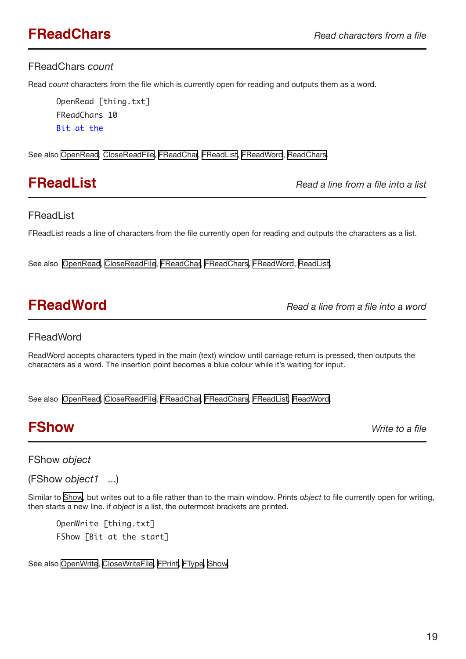## <span id="page-18-4"></span><span id="page-18-0"></span>FReadChars *count*

Read *count* characters from the file which is currently open for reading and outputs them as a word.

OpenRead [thing.txt] FReadChars 10  $Rit$  at the

See also [OpenRead](#page-26-2), [CloseReadFile](#page-9-4), [FReadChar,](#page-17-2) [FReadList](#page-18-2), [FReadWord,](#page-18-3) [ReadChars](#page-32-2).

<span id="page-18-2"></span>**FReadList** *Read a line from a file into a list*

## **FReadList**

FReadList reads a line of characters from the file currently open for reading and outputs the characters as a list.

See also [OpenRead](#page-26-2), [CloseReadFile](#page-9-4), [FReadChar](#page-17-2), [FReadChars](#page-32-2), [FReadWord,](#page-18-3) [ReadList.](#page-32-3)

<span id="page-18-3"></span>**FReadWord** *Read a line from a file into a word*

## **FReadWord**

ReadWord accepts characters typed in the main (text) window until carriage return is pressed, then outputs the characters as a word. The insertion point becomes a blue colour while it's waiting for input.

See also [OpenRead](#page-26-2), [CloseReadFile](#page-9-4), [FReadChar](#page-17-2), [FReadChars](#page-32-2), [FReadList](#page-18-2), [ReadWord.](#page-32-4)

## <span id="page-18-1"></span>**FShow** *Write to a file*

FShow *object* 

(FShow *object1* ...)

Similar to [Show,](#page-41-2) but writes out to a file rather than to the main window. Prints *object* to file currently open for writing, then starts a new line. if *object* is a list, the outermost brackets are printed.

OpenWrite [thing.txt] FShow [Bit at the start]

See also [OpenWrite](#page-26-3), [CloseWriteFile,](#page-10-3) [FPrint,](#page-17-2) [FType,](#page-19-3) [Show](#page-41-2).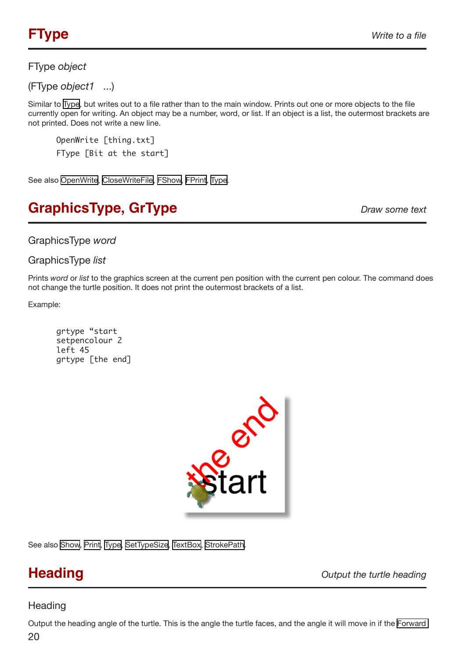## <span id="page-19-3"></span><span id="page-19-0"></span>FType *object*

(FType *object1* ...)

Similar to [Type,](#page-45-2) but writes out to a file rather than to the main window. Prints out one or more objects to the file currently open for writing. An object may be a number, word, or list. If an object is a list, the outermost brackets are not printed. Does not write a new line.

OpenWrite [thing.txt] FType [Bit at the start]

See also [OpenWrite](#page-26-3), [CloseWriteFile,](#page-10-3) [FShow,](#page-18-1) [FPrint,](#page-17-2) [Type](#page-45-2).

# <span id="page-19-2"></span>**GraphicsType, GrType** *Draw some text*

GraphicsType *word*

GraphicsType *list*

Prints *word* or *list* to the graphics screen at the current pen position with the current pen colour. The command does not change the turtle position. It does not print the outermost brackets of a list.

Example:

grtype "start setpencolour 2 left 45 grtype [the end]



See also [Show,](#page-41-2) [Print](#page-30-1), [Type,](#page-45-2) [SetTypeSize](#page-39-1), [TextBox,](#page-43-1) [StrokePath.](#page-41-1)

<span id="page-19-1"></span>**Heading** *Output the turtle heading*

## **Heading**

 $20$ Output the heading angle of the turtle. This is the angle the turtle faces, and the angle it will move in if the [Forward](#page-17-1)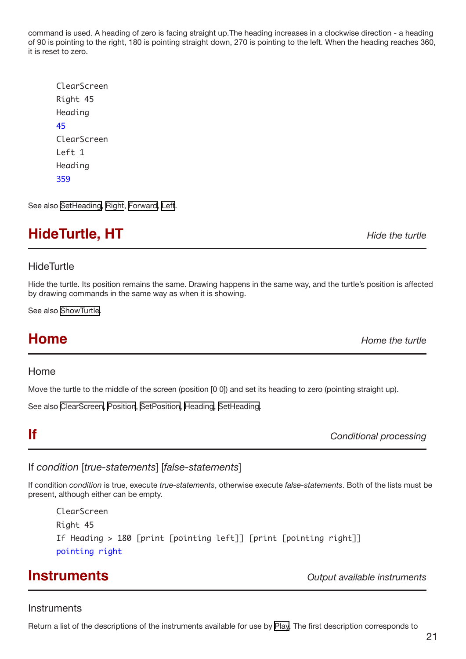<span id="page-20-0"></span>command is used. A heading of zero is facing straight up.The heading increases in a clockwise direction - a heading of 90 is pointing to the right, 180 is pointing straight down, 270 is pointing to the left. When the heading reaches 360, it is reset to zero.

| ClearScreen |
|-------------|
| Right 45    |
| Heading     |
| 45          |
| ClearScreen |
| Left 1      |
| Heading     |
| 359         |

See also [SetHeading,](#page-37-1) [Right,](#page-34-1) [Forward,](#page-17-1) [Left.](#page-20-1)

## <span id="page-20-4"></span>**HideTurtle, HT** *HideTurtle***, HT**

## **HideTurtle**

Hide the turtle. Its position remains the same. Drawing happens in the same way, and the turtle's position is affected by drawing commands in the same way as when it is showing.

See also [ShowTurtle.](#page-41-3)

<span id="page-20-2"></span>**Home** *Home the turtle*

### Home

Move the turtle to the middle of the screen (position [0 0]) and set its heading to zero (pointing straight up).

See also [ClearScreen,](#page-9-2) [Position,](#page-29-1) [SetPosition](#page-38-2), [Heading](#page-19-1), [SetHeading](#page-37-1).

<span id="page-20-1"></span>**If** *Conditional processing*

## If *condition* [*true-statements*] [*false-statements*]

If condition *condition* is true, execute *true-statements*, otherwise execute *false-statements*. Both of the lists must be present, although either can be empty.

ClearScreen Right 45 If Heading > 180 [print [pointing left]] [print [pointing right]] pointing right

<span id="page-20-3"></span>**Instruments** *Output available instruments*

### **Instruments**

Return a list of the descriptions of the instruments available for use by [Play](#page-29-2). The first description corresponds to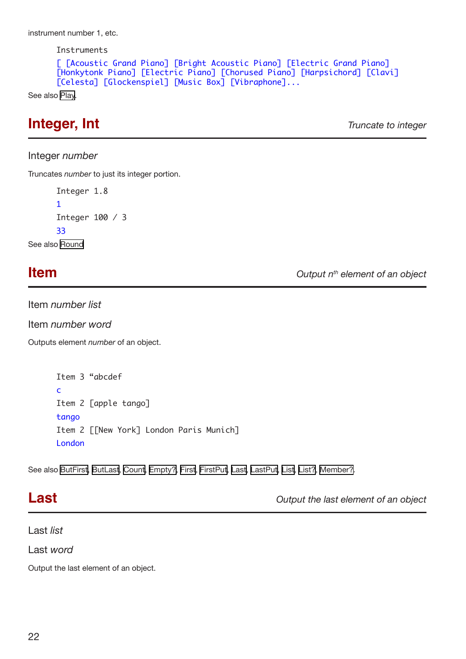<span id="page-21-0"></span>instrument number 1, etc.

Instruments

```
[ [Acoustic Grand Piano] [Bright Acoustic Piano] [Electric Grand Piano] 
[Honkytonk Piano] [Electric Piano] [Chorused Piano] [Harpsichord] [Clavi] 
[Celesta] [Glockenspiel] [Music Box] [Vibraphone]...
```
See also [Play](#page-29-2).

## **Integer, Int** *Truncate to integer*

Integer *number*

Truncates *number* to just its integer portion.

```
Integer 1.8
      1
      Integer 100 / 3
      33
See also Round
```
**Item Item Item Item Item Item** *Output n<sup>th</sup>* **element of an object** 

Item *number list* 

Item *number word*

Outputs element *number* of an object.

```
Item 3 "abcdef 
c
Item 2 [apple tango] 
tango 
Item 2 [[New York] London Paris Munich] 
London
```
See also [ButFirst](#page-8-2), [ButLast](#page-8-1), [Count](#page-10-2), [Empty?,](#page-12-1) [First,](#page-14-1) [FirstPut](#page-14-2), [Last,](#page-21-1) [LastPut,](#page-22-1) [List](#page-23-1), [List?](#page-23-2), [Member?](#page-24-1).

<span id="page-21-1"></span>**Last** *Output the last element of an object*

Last *list* 

Last *word* 

Output the last element of an object.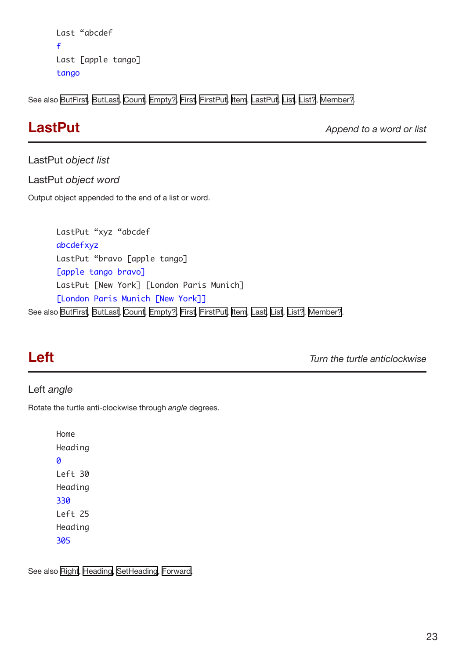```
Last "abcdef 
f
Last [apple tango] 
tango
```
See also [ButFirst](#page-8-2), [ButLast](#page-8-1), [Count](#page-10-2), [Empty?,](#page-12-1) [First,](#page-14-1) [FirstPut](#page-14-2), [Item](#page-20-1), [LastPut](#page-22-1), [List,](#page-23-1) [List?,](#page-23-2) [Member?](#page-24-1).

<span id="page-22-1"></span>**LastPut** *Append to a word or list* 

## LastPut *object list*

LastPut *object word*

Output object appended to the end of a list or word.

LastPut "xyz "abcdef abcdefxyz LastPut "bravo [apple tango] [apple tango bravo] LastPut [New York] [London Paris Munich] [London Paris Munich [New York]] See also [ButFirst](#page-8-2), [ButLast](#page-8-1), [Count](#page-10-2), [Empty?,](#page-12-1) [First,](#page-14-1) [FirstPut](#page-14-2), [Item](#page-20-1), [Last,](#page-21-1) [List](#page-23-1), [List?,](#page-23-2) [Member?.](#page-24-1)

**Left** *Turn the turtle anticlockwise*

## Left *angle*

Rotate the turtle anti-clockwise through *angle* degrees.

Home Heading 0 Left 30 Heading 330 Left 25 Heading 305

See also [Right,](#page-34-1) [Heading,](#page-19-1) [SetHeading,](#page-37-1) [Forward.](#page-17-1)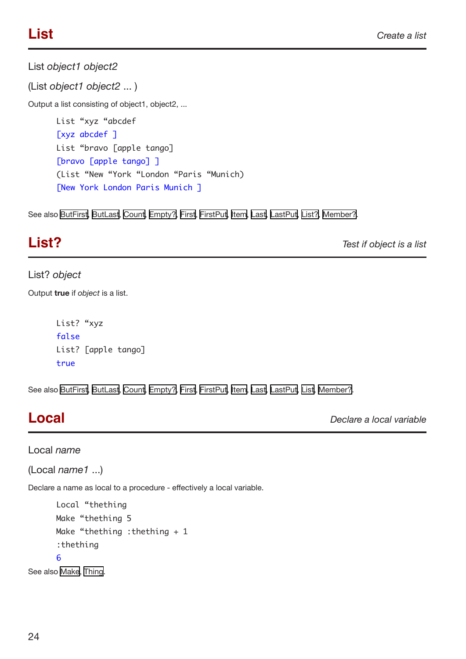<span id="page-23-1"></span><span id="page-23-0"></span>List *object1 object2*

(List *object1 object2* ... )

Output a list consisting of object1, object2, ...

List "xyz "abcdef [xyz abcdef ] List "bravo [apple tango] [bravo [apple tango] ] (List "New "York "London "Paris "Munich) [New York London Paris Munich ]

See also [ButFirst](#page-8-2), [ButLast](#page-8-1), [Count](#page-10-2), [Empty?,](#page-12-1) [First,](#page-14-1) [FirstPut](#page-14-2), [Item](#page-20-1), [Last,](#page-21-1) [LastPut,](#page-22-1) [List?,](#page-23-2) [Member?](#page-24-1).

# <span id="page-23-2"></span>**List?** *Test if object is a list*

## List? *object*

Output **true** if *object* is a list.

```
List? "xyz 
false 
List? [apple tango] 
true
```
See also [ButFirst](#page-8-2), [ButLast](#page-8-1), [Count](#page-10-2), [Empty?,](#page-12-1) [First,](#page-14-1) [FirstPut](#page-14-2), [Item](#page-20-1), [Last,](#page-21-1) [LastPut,](#page-22-1) [List](#page-23-1), [Member?.](#page-24-1)

<span id="page-23-3"></span>**Local** *Declare a local variable*

Local *name* 

```
(Local name1 ...)
```
Declare a name as local to a procedure - effectively a local variable.

```
Local "thething
Make "thething 5
Make "thething : thething + 1
:thething
```
### 6

See also [Make,](#page-24-1) [Thing](#page-45-1).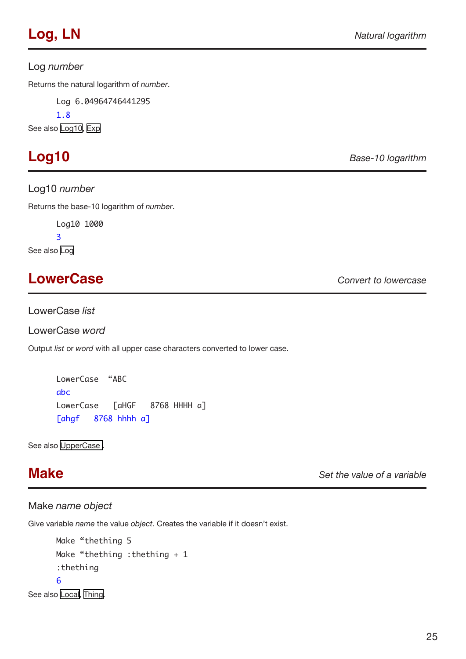## <span id="page-24-0"></span>Log *number*

Returns the natural logarithm of *number*.

Log 6.04964746441295

1.8

See also [Log10](#page-24-2), [Exp](#page-13-2)

Log10 *number*

Returns the base-10 logarithm of *number*.

Log10 1000

3

See also [Log](#page-23-3)

# **LowerCase** *Convert to lowercase*

LowerCase *list* 

LowerCase *word* 

Output *list* or *word* with all upper case characters converted to lower case.

LowerCase "ABC abc LowerCase [aHGF 8768 HHHH a] [ahgf 8768 hhhh a]

See also [UpperCase .](#page-45-2)

<span id="page-24-1"></span>**Make** *Set the value of a variable*

## Make *name object*

Give variable *name* the value *object*. Creates the variable if it doesn't exist.

```
Make "thething 5
      Make "thething :thething + 1
      :thething
      6
See also Local, Thing.
```
<span id="page-24-2"></span>**Log10** *Base-10 logarithm*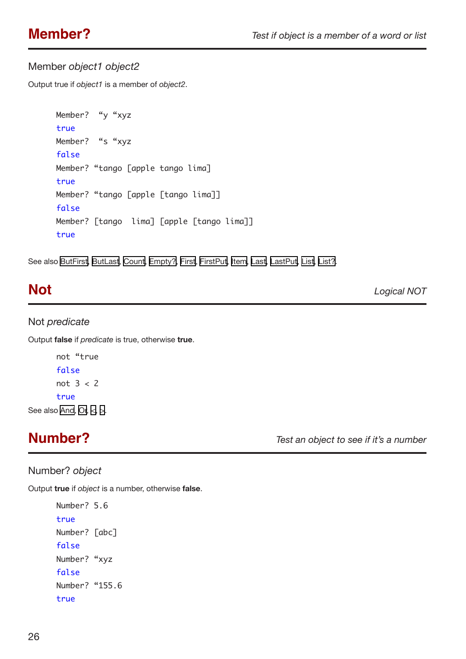## <span id="page-25-0"></span>Member *object1 object2*

Output true if *object1* is a member of *object2*.

```
Member? "y "xyz 
true 
Member? "s "xyz
false 
Member? "tango [apple tango lima] 
true 
Member? "tango [apple [tango lima]]
false 
Member? [tango lima] [apple [tango lima]] 
true
```
See also [ButFirst](#page-8-2), [ButLast](#page-8-1), [Count](#page-10-2), [Empty?,](#page-12-1) [First,](#page-14-1) [FirstPut](#page-14-2), [Item](#page-20-1), [Last,](#page-21-1) [LastPut,](#page-22-1) [List](#page-23-1), [List?](#page-23-2).

<span id="page-25-1"></span>**Not** *Logical NOT*

### Not *predicate*

Output **false** if *predicate* is true, otherwise **true**.

```
not "true
     false
     not 3 < 2true
 AndOr, <>.
```
**Number?** *Test an object to see if it's a number*

## Number? *object*

Output **true** if *object* is a number, otherwise **false**.

```
Number? 5.6
true
Number? [abc]
false
Number? "xyz
false
Number? "155.6
true
```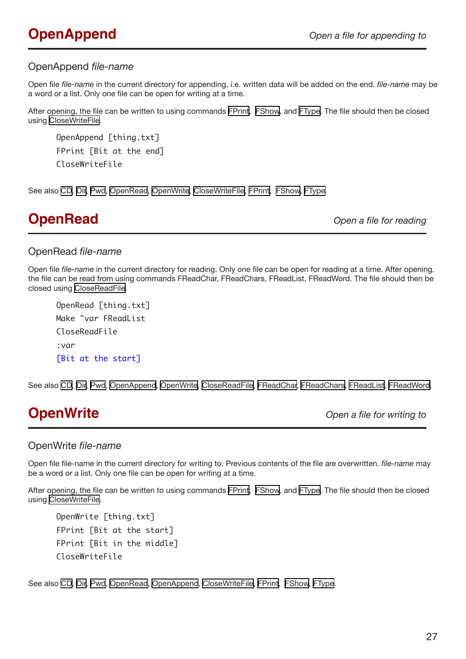## <span id="page-26-1"></span><span id="page-26-0"></span>OpenAppend *file-name*

Open file *file-name* in the current directory for appending, i.e. written data will be added on the end. *file-name* may be a word or a list. Only one file can be open for writing at a time.

After opening, the file can be written to using commands [FPrint](#page-17-2), [FShow](#page-18-1), and [FType](#page-19-3). The file should then be closed using [CloseWriteFile](#page-10-3).

OpenAppend [thing.txt] FPrint [Bit at the end] CloseWriteFile

See also [CD](#page-8-3), [Dir,](#page-12-2) [Pwd,](#page-31-1) [OpenRead,](#page-26-2) [OpenWrite](#page-26-3), [CloseWriteFile](#page-10-3), [FPrint](#page-17-2), [FShow](#page-18-1), [FType](#page-19-3).

<span id="page-26-2"></span>**OpenRead** *Open a file for reading*

### OpenRead *file-name*

Open file *file-name* in the current directory for reading. Only one file can be open for reading at a time. After opening, the file can be read from using commands FReadChar, FReadChars, FReadList, FReadWord. The file should then be closed using [CloseReadFile.](#page-9-4)

OpenRead [thing.txt] Make "var FReadList CloseReadFile :var [Bit at the start]

See also [CD](#page-8-3), [Dir,](#page-12-2) [Pwd,](#page-31-1) [OpenAppend](#page-26-1), [OpenWrite,](#page-26-3) [CloseReadFile,](#page-9-4) [FReadChar](#page-17-2), [FReadChars](#page-18-4), [FReadList](#page-18-2), [FReadWord](#page-18-3).

<span id="page-26-3"></span>**OpenWrite** *Open a file for writing to*

### OpenWrite *file-name*

Open file file-name in the current directory for writing to. Previous contents of the file are overwritten. *file-name* may be a word or a list. Only one file can be open for writing at a time.

After opening, the file can be written to using commands [FPrint](#page-17-2), [FShow](#page-18-1), and [FType](#page-19-3). The file should then be closed using [CloseWriteFile](#page-10-3).

```
OpenWrite [thing.txt]
FPrint [Bit at the start]
FPrint [Bit in the middle]
CloseWriteFile
```
See also [CD](#page-8-3), [Dir,](#page-12-2) [Pwd,](#page-31-1) [OpenRead,](#page-26-2) [OpenAppend](#page-26-1), [CloseWriteFile,](#page-10-3) [FPrint,](#page-17-2) [FShow,](#page-18-1) [FType](#page-19-3).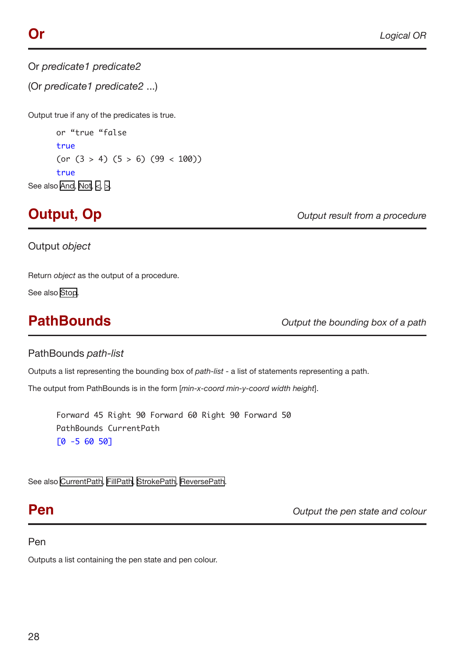<span id="page-27-1"></span><span id="page-27-0"></span>Or *predicate1 predicate2* 

(Or *predicate1 predicate2* ...)

Output true if any of the predicates is true.

or "true "false true (or  $(3 > 4)$   $(5 > 6)$   $(99 < 100)$ ) true See also [And](#page-5-1), [Not,](#page-25-1) [<](#page-4-1), [>.](#page-4-2)

**Output, Op** *Output result from a procedure*

Output *object*

Return *object* as the output of a procedure.

See also [Stop](#page-42-2).

<span id="page-27-2"></span>**PathBounds** *Output the bounding box of a path*

## PathBounds *path-list*

Outputs a list representing the bounding box of *path-list* - a list of statements representing a path.

The output from PathBounds is in the form [*min-x-coord min-y-coord width height*].

Forward 45 Right 90 Forward 60 Right 90 Forward 50 PathBounds CurrentPath [0 -5 60 50]

See also [CurrentPath](#page-10-4), [FillPath,](#page-14-3) [StrokePath,](#page-41-1) [ReversePath](#page-33-1).

**Pen** *Pen <i>Output the pen state and colour* 

## Pen

Outputs a list containing the pen state and pen colour.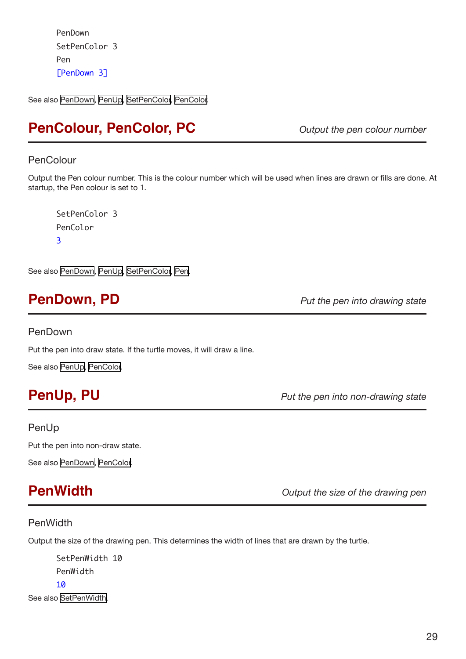<span id="page-28-0"></span>PenDown SetPenColor 3 Pen [PenDown 3]

See also [PenDown](#page-28-2), [PenUp,](#page-28-1) [SetPenColor,](#page-38-1) [PenColor](#page-28-3).

## <span id="page-28-3"></span>**PenColour, PenColor, PC** *Output the pen colour number*

### PenColour

Output the Pen colour number. This is the colour number which will be used when lines are drawn or fills are done. At startup, the Pen colour is set to 1.

SetPenColor 3 PenColor 3

See also [PenDown](#page-28-2), [PenUp,](#page-28-1) [SetPenColor,](#page-38-1) [Pen.](#page-23-1)

## <span id="page-28-2"></span>**PenDown, PD** *Put the pen into drawing state*

### PenDown

Put the pen into draw state. If the turtle moves, it will draw a line.

See also [PenUp,](#page-28-1) [PenColor.](#page-28-3)

<span id="page-28-1"></span>**PenUp, PU** *Put the pen into non-drawing state*

## PenUp

Put the pen into non-draw state.

See also [PenDown](#page-28-2), [PenColor.](#page-28-3)

<span id="page-28-4"></span>**PenWidth** *Output the size of the drawing pen*

## PenWidth

Output the size of the drawing pen. This determines the width of lines that are drawn by the turtle.

SetPenWidth 10 PenWidth 10 See also [SetPenWidth.](#page-38-2)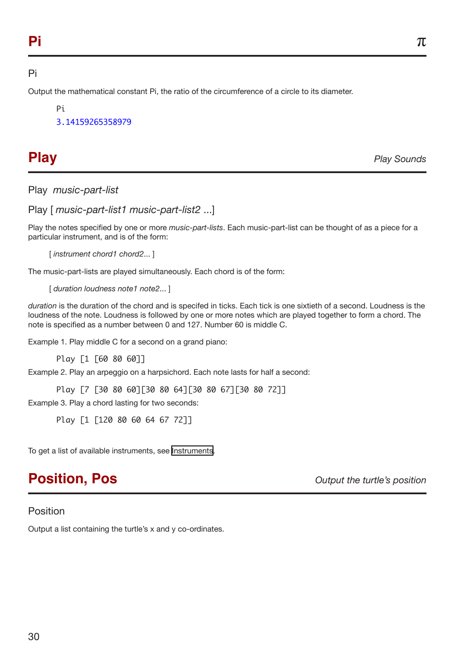## <span id="page-29-0"></span>Pi

Output the mathematical constant Pi, the ratio of the circumference of a circle to its diameter.

Pi

3.14159265358979

<span id="page-29-2"></span>**Play** *Play Sounds*

Play *music-part-list*

Play [ *music-part-list1 music-part-list2* ...]

Play the notes specified by one or more *music-part-lists*. Each music-part-list can be thought of as a piece for a particular instrument, and is of the form:

[ *instrument chord1 chord2*... ]

The music-part-lists are played simultaneously. Each chord is of the form:

[ *duration loudness note1 note2*... ]

*duration* is the duration of the chord and is specifed in ticks. Each tick is one sixtieth of a second. Loudness is the loudness of the note. Loudness is followed by one or more notes which are played together to form a chord. The note is specified as a number between 0 and 127. Number 60 is middle C.

Example 1. Play middle C for a second on a grand piano:

Play [1 [60 80 60]]

Example 2. Play an arpeggio on a harpsichord. Each note lasts for half a second:

Play [7 [30 80 60][30 80 64][30 80 67][30 80 72]]

Example 3. Play a chord lasting for two seconds:

Play [1 [120 80 60 64 67 72]]

To get a list of available instruments, see [Instruments](#page-20-3).

## <span id="page-29-1"></span>**Position, Pos** *Output the turtle's position*

## Position

Output a list containing the turtle's x and y co-ordinates.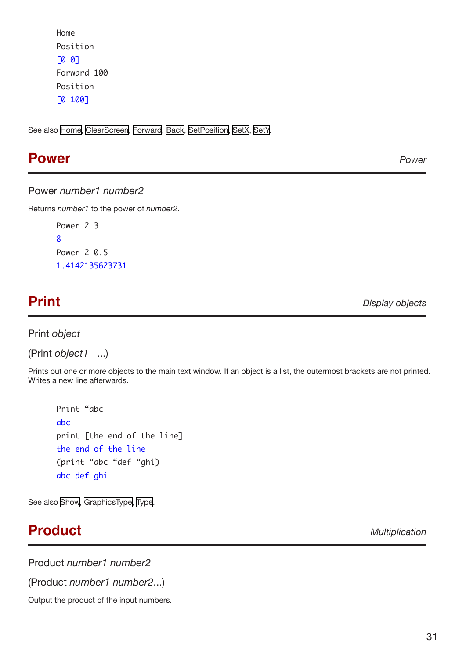```
Home
Position
[0 0]
Forward 100
Position
[0 100]
```
See also [Home,](#page-20-2) [ClearScreen](#page-9-2), [Forward,](#page-17-1) [Back](#page-7-2), [SetPosition,](#page-38-2) [SetX](#page-40-1), [SetY](#page-40-2).

## <span id="page-30-1"></span>**Power** *Power*

### Power *number1 number2*

Returns *number1* to the power of *number2*.

Power 2 3 8 Power 2 0.5 1.4142135623731

<span id="page-30-2"></span>**Print** *Display objects*

Print *object* 

(Print *object1* ...)

Prints out one or more objects to the main text window. If an object is a list, the outermost brackets are not printed. Writes a new line afterwards.

Print "abc abc print [the end of the line] the end of the line (print "abc "def "ghi) abc def ghi

See also [Show,](#page-41-2) [GraphicsType,](#page-19-2) [Type](#page-45-2).

## **Product** *Multiplication*

Product *number1 number2*

(Product *number1 number2*...)

Output the product of the input numbers.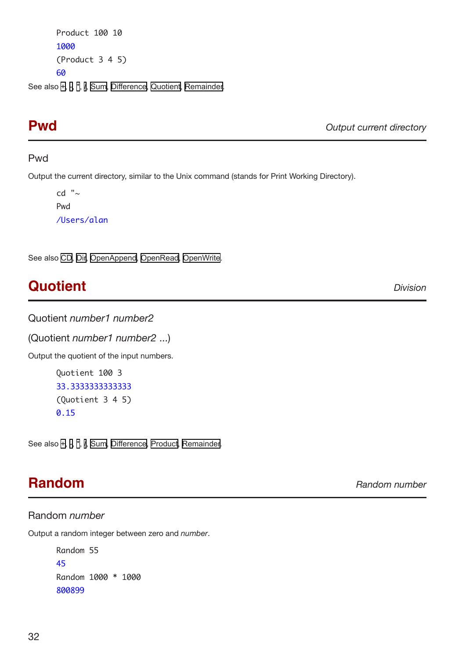<span id="page-31-0"></span>Product 100 10 1000 (Product 3 4 5) 60

See also [+,](#page-4-3) [-](#page-4-4), [\\*,](#page-4-5) [/](#page-4-6), [Sum](#page-43-1), [Difference](#page-11-2), [Quotient,](#page-31-2) [Remainder.](#page-32-1)

<span id="page-31-1"></span>**Pwd** *Output current directory*

### Pwd

Output the current directory, similar to the Unix command (stands for Print Working Directory).

cd "~ Pwd /Users/alan

See also [CD](#page-8-3), [Dir,](#page-12-2) [OpenAppend](#page-26-1), [OpenRead](#page-26-2), [OpenWrite.](#page-26-3)

## <span id="page-31-2"></span>**Quotient** *Division*

Quotient *number1 number2*

(Quotient *number1 number2* ...)

Output the quotient of the input numbers.

```
Quotient 100 3 
33.3333333333333
(Quotient 3 4 5)
0.15
```
See also [+,](#page-4-3) [-](#page-4-4), [\\*,](#page-4-5) [/](#page-4-6), [Sum](#page-43-1), [Difference](#page-11-2), [Product](#page-30-2), [Remainder](#page-32-1).

## **Random** *Random number*

Random *number* Output a random integer between zero and *number*.

> Random 55 45 Random 1000 \* 1000 800899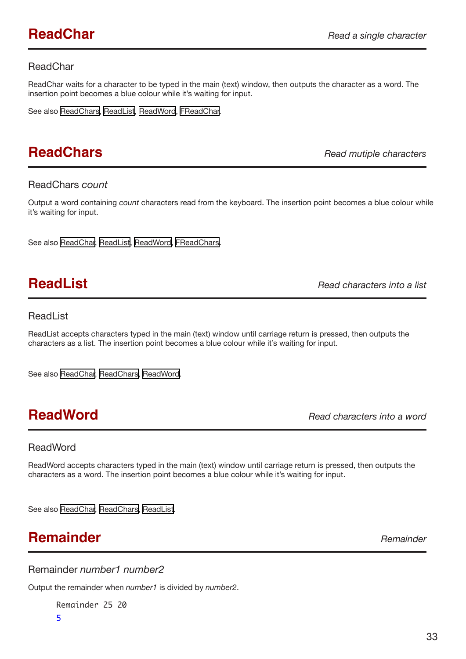## <span id="page-32-0"></span>ReadChar

ReadChar waits for a character to be typed in the main (text) window, then outputs the character as a word. The insertion point becomes a blue colour while it's waiting for input.

See also [ReadChars](#page-32-2), [ReadList](#page-32-3), [ReadWord,](#page-32-4) [FReadChar](#page-17-2).

## <span id="page-32-2"></span>**ReadChars** *Read mutiple characters*

### ReadChars *count*

Output a word containing *count* characters read from the keyboard. The insertion point becomes a blue colour while it's waiting for input.

See also [ReadChar](#page-30-1), [ReadList](#page-32-3), [ReadWord,](#page-32-4) [FReadChars](#page-18-4).

<span id="page-32-3"></span>**ReadList** *Read characters into a list*

### ReadList

ReadList accepts characters typed in the main (text) window until carriage return is pressed, then outputs the characters as a list. The insertion point becomes a blue colour while it's waiting for input.

See also [ReadChar](#page-30-1), [ReadChars,](#page-32-2) [ReadWord](#page-32-4).

<span id="page-32-4"></span>**ReadWord** *Read characters into a word*

## ReadWord

ReadWord accepts characters typed in the main (text) window until carriage return is pressed, then outputs the characters as a word. The insertion point becomes a blue colour while it's waiting for input.

See also [ReadChar](#page-30-1), [ReadChars,](#page-32-2) [ReadList.](#page-32-3)

## <span id="page-32-1"></span>**Remainder** *Remainder*

Remainder *number1 number2*

Output the remainder when *number1* is divided by *number2*.

Remainder 25 20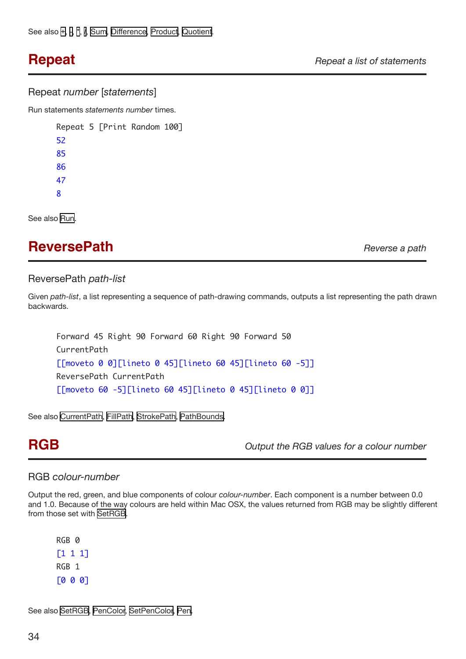### <span id="page-33-0"></span>Repeat *number* [*statements*]

Run statements *statements number* times.

Repeat 5 [Print Random 100] 52 85 86 47 8

See also [Run](#page-34-2).

## <span id="page-33-1"></span>**ReversePath** *Reverse a path*

### ReversePath *path-list*

Given *path-list*, a list representing a sequence of path-drawing commands, outputs a list representing the path drawn backwards.

Forward 45 Right 90 Forward 60 Right 90 Forward 50 CurrentPath [[moveto 0 0][lineto 0 45][lineto 60 45][lineto 60 -5]] ReversePath CurrentPath [[moveto 60 -5][lineto 60 45][lineto 0 45][lineto 0 0]]

See also [CurrentPath](#page-10-4), [FillPath,](#page-14-3) [StrokePath,](#page-41-1) [PathBounds](#page-27-2).

**RGB** *Output the RGB values for a colour number*

### RGB *colour-number*

Output the red, green, and blue components of colour *colour-number*. Each component is a number between 0.0 and 1.0. Because of the way colours are held within Mac OSX, the values returned from RGB may be slightly different from those set with [SetRGB.](#page-38-3)

RGB 0 [1 1 1] RGB 1 [0 0 0]

See also [SetRGB](#page-38-3), [PenColor,](#page-28-3) [SetPenColor,](#page-38-1) [Pen.](#page-23-1)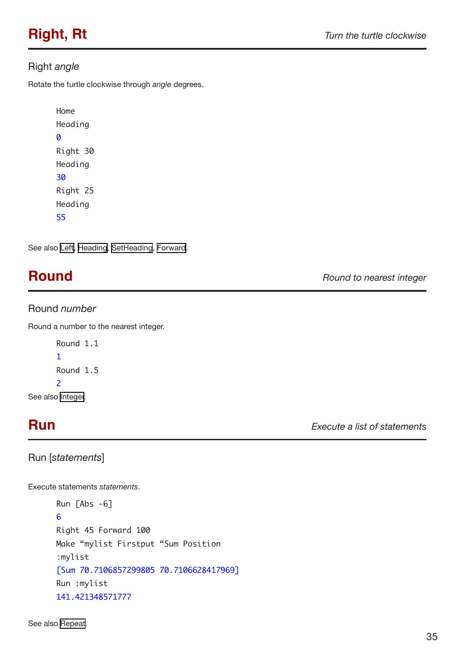## <span id="page-34-1"></span><span id="page-34-0"></span>Right *angle*

Rotate the turtle clockwise through *angle* degrees.

```
Home
Heading
0
Right 30
Heading
30
Right 25
Heading
55
```
See also [Left](#page-20-1), [Heading](#page-19-1), [SetHeading](#page-37-1), [Forward](#page-17-1).

## <span id="page-34-2"></span>**Round** *Round to nearest integer*

## Round *number*

Round a number to the nearest integer.

```
Round 1.1
1
Round 1.5
\overline{2}
```
See also [Integer](#page-20-3).

# **Run** *Execute a list of statements*

Run [*statements*]

Execute statements *statements*.

```
Run [Abs -6]
6
Right 45 Forward 100
Make "mylist Firstput "Sum Position
:mylist
[Sum 70.7106857299805 70.7106628417969]
Run :mylist
141.421348571777
```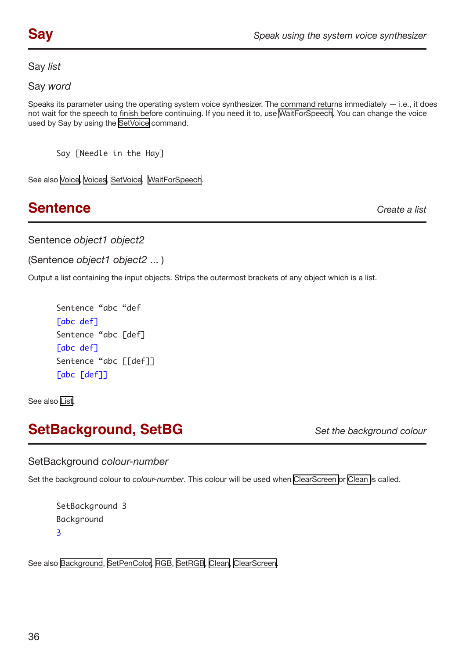<span id="page-35-1"></span><span id="page-35-0"></span>Say *list*

Say *word*

Speaks its parameter using the operating system voice synthesizer. The command returns immediately  $-$  i.e., it does not wait for the speech to finish before continuing. If you need it to, use [WaitForSpeech](#page-47-1). You can change the voice used by Say by using the [SetVoice](#page-40-3) command.

Say [Needle in the Hay]

See also [Voice](#page-46-1), [Voices](#page-46-2), [SetVoice](#page-40-3), [WaitForSpeech.](#page-47-1)

## **Sentence** *Create a list*

Sentence *object1 object2*

(Sentence *object1 object2* ... )

Output a list containing the input objects. Strips the outermost brackets of any object which is a list.

```
Sentence "abc "def 
[abc def] 
Sentence "abc [def] 
[abc def] 
Sentence "abc [[def]] 
[abc [def]]
```
See also [List](#page-23-1).

## **SetBackground, SetBG** *Set the background colour*

SetBackground *colour-number*

Set the background colour to *colour-number*. This colour will be used when [ClearScreen o](#page-9-2)r [Clean](#page-9-3) is called.

```
SetBackground 3
Background 
3
```
See also [Background,](#page-7-1) [SetPenColor,](#page-38-1) [RGB,](#page-30-1) [SetRGB,](#page-38-3) [Clean,](#page-9-3) [ClearScreen](#page-9-2).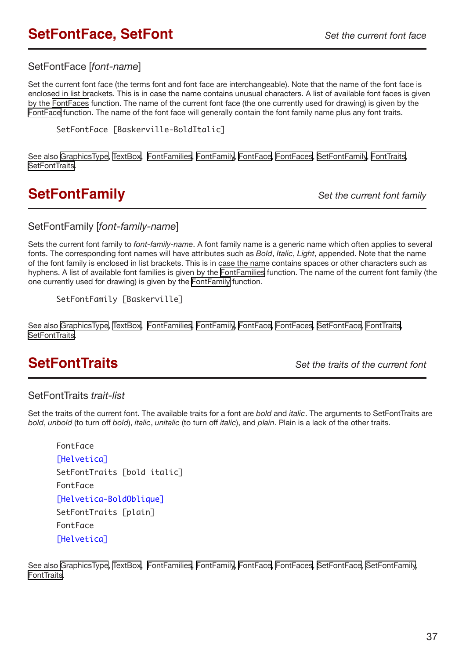## <span id="page-36-1"></span><span id="page-36-0"></span>**SetFontFace, SetFont** *Set the current font face*

## SetFontFace [*font-name*]

Set the current font face (the terms font and font face are interchangeable). Note that the name of the font face is enclosed in list brackets. This is in case the name contains unusual characters. A list of available font faces is given by the [FontFaces](#page-15-1) function. The name of the current font face (the one currently used for drawing) is given by the [FontFace](#page-15-2) function. The name of the font face will generally contain the font family name plus any font traits.

SetFontFace [Baskerville-BoldItalic]

See also [GraphicsType](#page-19-2), [TextBox](#page-43-1), [FontFamilies](#page-16-2), [FontFamily](#page-16-1), [FontFace,](#page-15-2) [FontFaces,](#page-15-1) [SetFontFamily,](#page-36-2) [FontTraits](#page-16-3), [SetFontTraits](#page-36-3).

## <span id="page-36-2"></span>**SetFontFamily** *Set the current font family*

## SetFontFamily [*font-family-name*]

Sets the current font family to *font-family-name*. A font family name is a generic name which often applies to several fonts. The corresponding font names will have attributes such as *Bold*, *Italic*, *Light*, appended. Note that the name of the font family is enclosed in list brackets. This is in case the name contains spaces or other characters such as hyphens. A list of available font families is given by the [FontFamilies](#page-16-2) function. The name of the current font family (the one currently used for drawing) is given by the [FontFamily](#page-16-1) function.

```
SetFontFamily [Baskerville]
```
See also [GraphicsType](#page-19-2), [TextBox](#page-43-1), [FontFamilies](#page-16-2), [FontFamily](#page-16-1), [FontFace,](#page-15-2) [FontFaces,](#page-15-1) [SetFontFace](#page-36-1), [FontTraits,](#page-16-3) [SetFontTraits](#page-36-3).

<span id="page-36-3"></span>**SetFontTraits** *Set the traits of the current font*

## SetFontTraits *trait-list*

Set the traits of the current font. The available traits for a font are *bold* and *italic*. The arguments to SetFontTraits are *bold*, *unbold* (to turn off *bold*), *italic*, *unitalic* (to turn off *italic*), and *plain*. Plain is a lack of the other traits.

```
FontFace 
[Helvetica]
SetFontTraits [bold italic] 
FontFace 
[Helvetica-BoldOblique] 
SetFontTraits [plain] 
FontFace 
[Helvetica]
```
See also [GraphicsType](#page-19-2), [TextBox](#page-43-1), [FontFamilies](#page-16-2), [FontFamily](#page-16-1), [FontFace,](#page-15-2) [FontFaces,](#page-15-1) [SetFontFace](#page-36-1), [SetFontFamily](#page-36-2), [FontTraits](#page-16-3).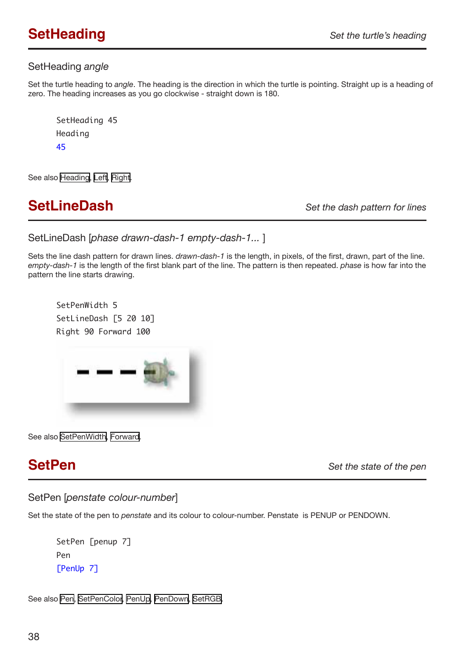## <span id="page-37-1"></span><span id="page-37-0"></span>SetHeading *angle*

Set the turtle heading to *angle*. The heading is the direction in which the turtle is pointing. Straight up is a heading of zero. The heading increases as you go clockwise - straight down is 180.

SetHeading 45 Heading 45

See also [Heading,](#page-19-1) [Left](#page-20-1), [Right](#page-34-1).

## <span id="page-37-2"></span>**SetLineDash** *Set the dash pattern for lines*

SetLineDash [*phase drawn-dash-1 empty-dash-1...* ]

Sets the line dash pattern for drawn lines. *drawn-dash-1* is the length, in pixels, of the first, drawn, part of the line. *empty-dash-1* is the length of the first blank part of the line. The pattern is then repeated. *phase* is how far into the pattern the line starts drawing.

SetPenWidth 5 SetLineDash [5 20 10] Right 90 Forward 100



See also [SetPenWidth,](#page-38-2) [Forward](#page-17-1).

**SetPen** *Set the state of the pen*

SetPen [*penstate colour-number*]

Set the state of the pen to *penstate* and its colour to colour-number. Penstate is PENUP or PENDOWN.

SetPen [penup 7] Pen [PenUp 7]

See also [Pen,](#page-23-1) [SetPenColor,](#page-38-1) [PenUp,](#page-28-1) [PenDown,](#page-28-2) [SetRGB.](#page-38-3)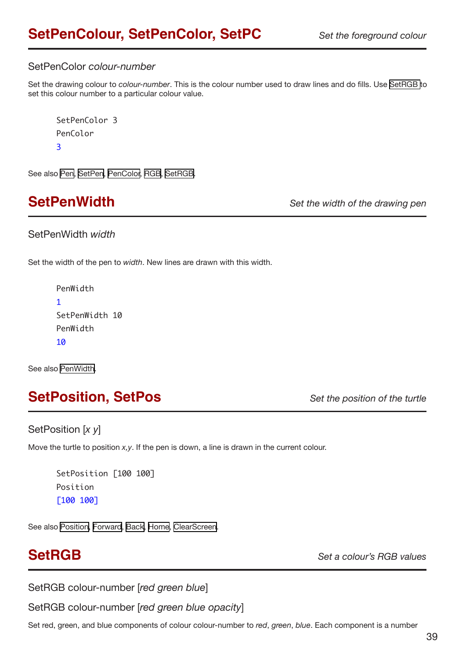## <span id="page-38-1"></span><span id="page-38-0"></span>SetPenColor *colour-number*

Set the drawing colour to *colour-number*. This is the colour number used to draw lines and do fills. Use [SetRGB t](#page-38-3)o set this colour number to a particular colour value.

```
SetPenColor 3
PenColor
3
```
See also [Pen,](#page-23-1) [SetPen](#page-37-2), [PenColor,](#page-28-3) [RGB,](#page-30-1) [SetRGB](#page-38-3).

<span id="page-38-2"></span>**SetPenWidth** *Set the width of the drawing pen*

### SetPenWidth *width*

Set the width of the pen to *width*. New lines are drawn with this width.

```
PenWidth
1
SetPenWidth 10
PenWidth
10
```
See also [PenWidth.](#page-28-4)

## **SetPosition, SetPos** *Set the position of the turtle*

## SetPosition [*x y*]

Move the turtle to position *x,y*. If the pen is down, a line is drawn in the current colour.

```
SetPosition [100 100]
Position
[100 100]
```
See also [Position](#page-29-1), [Forward,](#page-17-1) [Back,](#page-7-2) [Home](#page-20-2), [ClearScreen.](#page-9-2)

<span id="page-38-3"></span>**SetRGB** *Set a colour's RGB values*

SetRGB colour-number [*red green blue*]

SetRGB colour-number [*red green blue opacity*]

Set red, green, and blue components of colour colour-number to *red*, *green*, *blue*. Each component is a number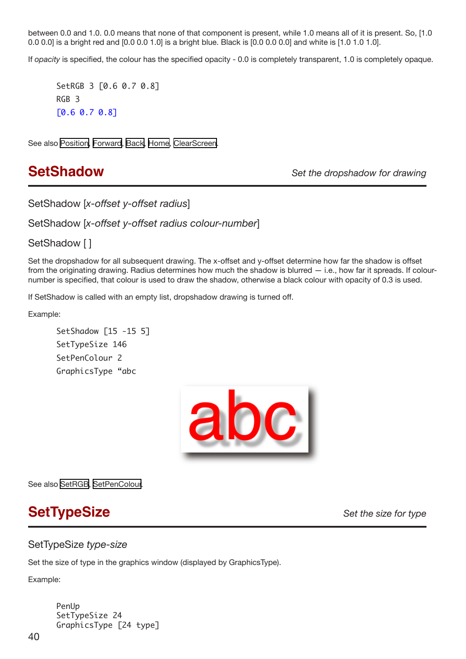<span id="page-39-0"></span>between 0.0 and 1.0. 0.0 means that none of that component is present, while 1.0 means all of it is present. So, [1.0 0.0 0.0] is a bright red and [0.0 0.0 1.0] is a bright blue. Black is [0.0 0.0 0.0] and white is [1.0 1.0 1.0].

If *opacity* is specified, the colour has the specified opacity - 0.0 is completely transparent, 1.0 is completely opaque.

SetRGB 3 [0.6 0.7 0.8] RGB 3 [0.6 0.7 0.8]

See also [Position](#page-29-1), [Forward,](#page-17-1) [Back,](#page-7-2) [Home](#page-20-2), [ClearScreen.](#page-9-2)

<span id="page-39-1"></span>**SetShadow** *Set the dropshadow for drawing*

SetShadow [*x-offset y-offset radius*]

SetShadow [*x-offset y-offset radius colour-number*]

SetShadow []

Set the dropshadow for all subsequent drawing. The x-offset and y-offset determine how far the shadow is offset from the originating drawing. Radius determines how much the shadow is blurred  $-$  i.e., how far it spreads. If colournumber is specified, that colour is used to draw the shadow, otherwise a black colour with opacity of 0.3 is used.

If SetShadow is called with an empty list, dropshadow drawing is turned off.

Example:

SetShadow [15 -15 5] SetTypeSize 146 SetPenColour 2 GraphicsType "abc



See also [SetRGB](#page-38-3), [SetPenColour](#page-38-1).

## **SetTypeSize** *Set the size for type*

### SetTypeSize *type-size*

Set the size of type in the graphics window (displayed by GraphicsType).

Example:

PenUp SetTypeSize 24 GraphicsType [24 type]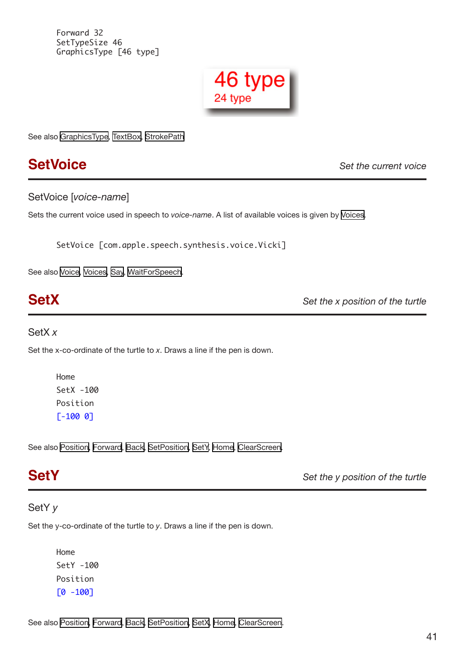<span id="page-40-0"></span>Forward 32 SetTypeSize 46 GraphicsType [46 type]



See also [GraphicsType](#page-19-2), [TextBox](#page-43-1), [StrokePath](#page-41-1)

<span id="page-40-3"></span>**SetVoice** *Set the current voice*

SetVoice [*voice-name*]

Sets the current voice used in speech to *voice-name*. A list of available voices is given by [Voices](#page-46-2).

SetVoice [com.apple.speech.synthesis.voice.Vicki]

See also [Voice](#page-46-1), [Voices](#page-46-2), [Say,](#page-35-1) [WaitForSpeech.](#page-47-1)

<span id="page-40-1"></span>**SetX** *Set the x position of the turtle*

### SetX *x*

Set the x-co-ordinate of the turtle to *x*. Draws a line if the pen is down.

Home SetX -100 Position [-100 0]

See also [Position](#page-29-1), [Forward,](#page-17-1) [Back,](#page-7-2) [SetPosition,](#page-38-2) [SetY](#page-40-2), [Home,](#page-20-2) [ClearScreen](#page-9-2).

<span id="page-40-2"></span>**SetY** *Set the y position of the turtle*

## SetY *y*

Set the y-co-ordinate of the turtle to *y*. Draws a line if the pen is down.

Home SetY -100 Position [0 -100]

See also [Position](#page-29-1), [Forward,](#page-17-1) [Back,](#page-7-2) [SetPosition,](#page-38-2) [SetX](#page-40-1), [Home,](#page-20-2) [ClearScreen](#page-9-2).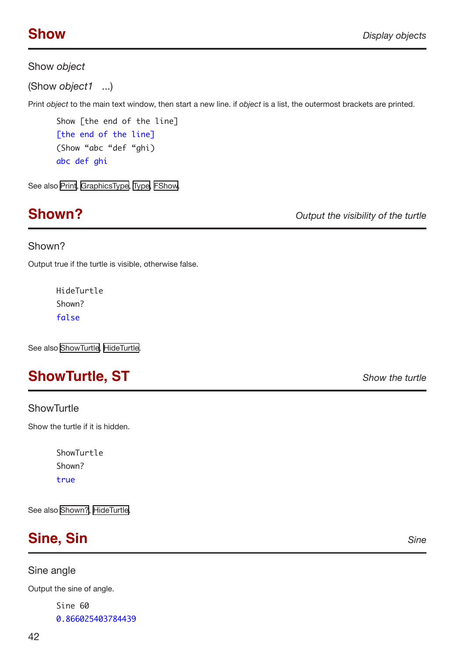## <span id="page-41-2"></span><span id="page-41-0"></span>Show *object*

(Show *object1* ...)

Print *object* to the main text window, then start a new line. if *object* is a list, the outermost brackets are printed.

Show [the end of the line] [the end of the line] (Show "abc "def "ghi) abc def ghi

See also [Print,](#page-30-1) [GraphicsType,](#page-19-2) [Type](#page-45-2), [FShow](#page-18-1).

**Shown?** *Output the visibility of the turtle*

## Shown?

Output true if the turtle is visible, otherwise false.

HideTurtle Shown? false

See also [ShowTurtle,](#page-41-3) [HideTurtle.](#page-20-4)

## <span id="page-41-3"></span>**ShowTurtle, ST** *Show the turtle*

## **ShowTurtle**

Show the turtle if it is hidden.

ShowTurtle Shown? true

See also [Shown?,](#page-41-2) [HideTurtle](#page-20-4).

<span id="page-41-1"></span>

Sine angle

Output the sine of angle.

Sine 60 0.866025403784439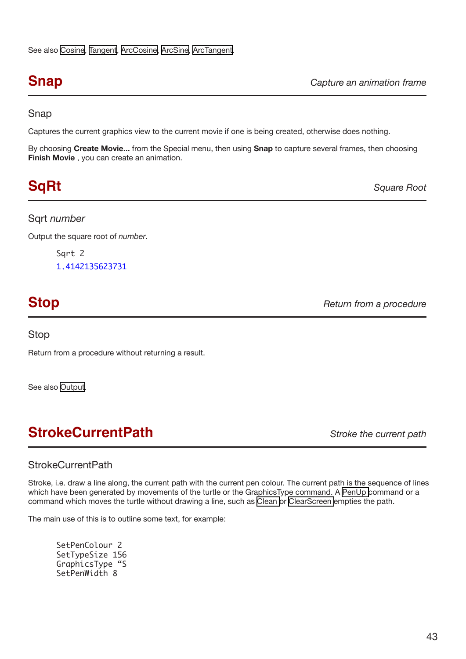<span id="page-42-0"></span>**Snap** *Capture an animation frame*

## Snap

Captures the current graphics view to the current movie if one is being created, otherwise does nothing.

By choosing **Create Movie...** from the Special menu, then using **Snap** to capture several frames, then choosing **Finish Movie** , you can create an animation.

# <span id="page-42-2"></span>**SqRt** *Square Root*

## Sqrt *number*

Output the square root of *number*.

Sqrt 2 1.4142135623731

# **Stop** *Return from a procedure Return from a procedure*

Stop

Return from a procedure without returning a result.

See also [Output](#page-25-1).

# <span id="page-42-1"></span>**StrokeCurrentPath** *Stroke the current path*

## **StrokeCurrentPath**

Stroke, i.e. draw a line along, the current path with the current pen colour. The current path is the sequence of lines which have been generated by movements of the turtle or the GraphicsType command. A [PenUp c](#page-28-1)ommand or a command which moves the turtle without drawing a line, such as [Clean o](#page-9-3)r [ClearScreen](#page-9-2) empties the path.

The main use of this is to outline some text, for example:

SetPenColour 2 SetTypeSize 156 GraphicsType "S SetPenWidth 8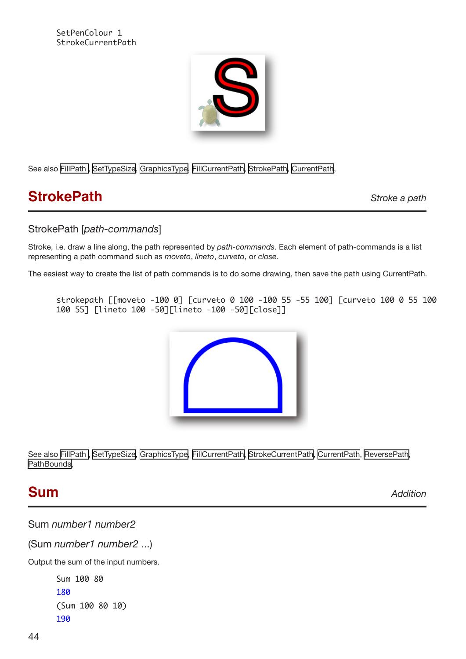<span id="page-43-0"></span>SetPenColour 1 StrokeCurrentPath



See also [FillPath ,](#page-14-3) [SetTypeSize](#page-39-1), [GraphicsType](#page-19-2), [FillCurrentPath,](#page-14-3) [StrokePath](#page-41-1), [CurrentPath,](#page-10-4)

## **StrokePath** *Stroke a path*

## StrokePath [*path-commands*]

Stroke, i.e. draw a line along, the path represented by *path-commands*. Each element of path-commands is a list representing a path command such as *moveto*, *lineto*, *curveto*, or *close*.

The easiest way to create the list of path commands is to do some drawing, then save the path using CurrentPath.

strokepath [[moveto -100 0] [curveto 0 100 -100 55 -55 100] [curveto 100 0 55 100 100 55] [lineto 100 -50][lineto -100 -50][close]]



See also [FillPath ,](#page-14-3) [SetTypeSize](#page-39-1), [GraphicsType](#page-19-2), [FillCurrentPath,](#page-14-3) [StrokeCurrentPath](#page-42-1), [CurrentPath,](#page-10-4) [ReversePath](#page-33-1), [PathBounds](#page-27-2),

## <span id="page-43-1"></span>**Sum** *Addition*

Sum *number1 number2*

(Sum *number1 number2* ...)

Output the sum of the input numbers.

Sum 100 80 180 (Sum 100 80 10) 190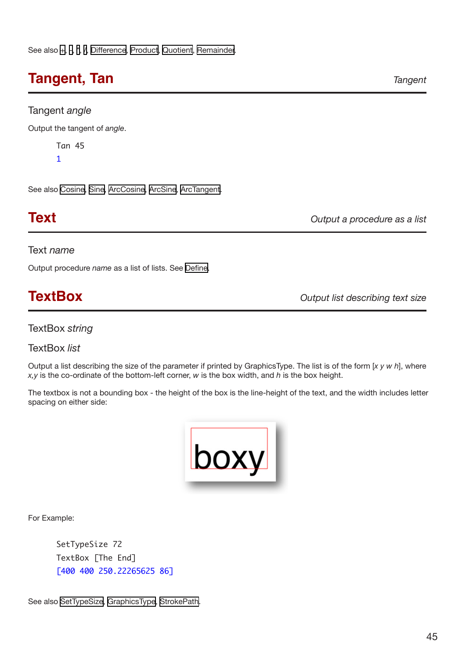# <span id="page-44-1"></span><span id="page-44-0"></span>**Tangent, Tan** *Tangent*

## Tangent *angle*

Output the tangent of *angle*.

Tan 45

1

See also [Cosine](#page-10-1), [Sine](#page-41-1), [ArcCosine](#page-6-3), [ArcSine](#page-6-1), [ArcTangent](#page-6-2).

**Text** *Output a procedure as a list*

### Text *name*

Output procedure *name* as a list of lists. See [Define](#page-11-2).

**TextBox** *Output list describing text size*

TextBox *string*

TextBox *list*

Output a list describing the size of the parameter if printed by GraphicsType. The list is of the form [*x y w h*], where *x,y* is the co-ordinate of the bottom-left corner, *w* is the box width, and *h* is the box height.

The textbox is not a bounding box - the height of the box is the line-height of the text, and the width includes letter spacing on either side:



For Example:

SetTypeSize 72 TextBox [The End] [400 400 250.22265625 86]

See also [SetTypeSize,](#page-39-1) [GraphicsType,](#page-19-2) [StrokePath.](#page-41-1)

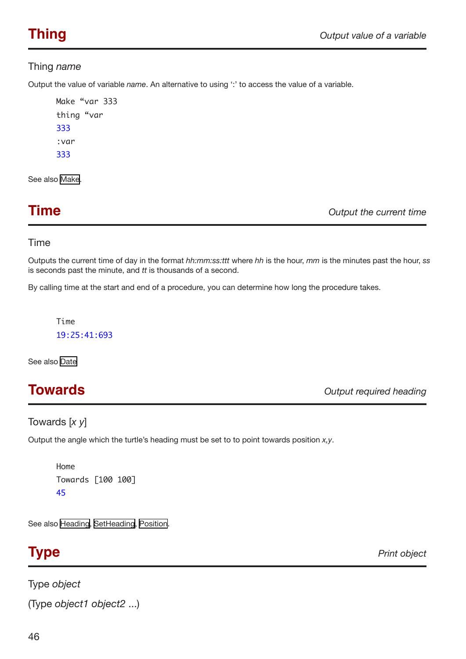## <span id="page-45-1"></span><span id="page-45-0"></span>Thing *name*

Output the value of variable *name*. An alternative to using ':' to access the value of a variable.

Make "var 333 thing "var 333 :var 333

See also [Make.](#page-24-1)

**Time** *Output the current time*

## Time

Outputs the current time of day in the format *hh:mm:ss:ttt* where *hh* is the hour, *mm* is the minutes past the hour, *ss*  is seconds past the minute, and *tt* is thousands of a second.

By calling time at the start and end of a procedure, you can determine how long the procedure takes.

Time 19:25:41:693

See also [Date](#page-11-3)

**Towards** *Output required heading*

## Towards [*x y*]

Output the angle which the turtle's heading must be set to to point towards position *x,y*.

```
Home
Towards [100 100]
45
```
See also [Heading,](#page-19-1) [SetHeading](#page-37-1), [Position](#page-29-1).

<span id="page-45-2"></span>**Type** *Print object*

Type *object*  (Type *object1 object2* ...)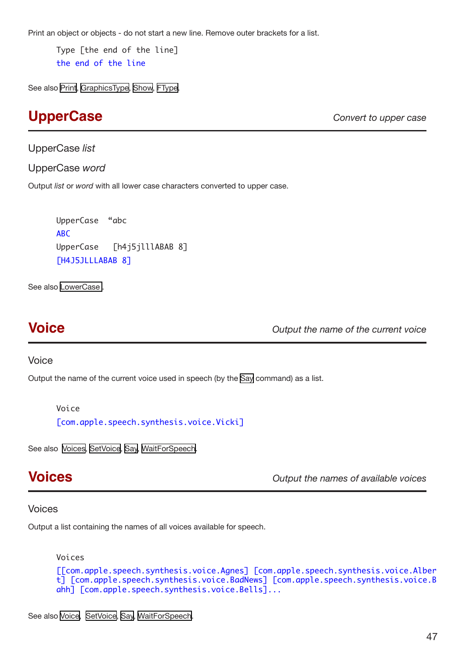<span id="page-46-0"></span>Print an object or objects - do not start a new line. Remove outer brackets for a list.

Type [the end of the line] the end of the line

See also [Print,](#page-30-1) [GraphicsType,](#page-19-2) [Show](#page-41-2), [FType](#page-19-3).

## **UpperCase** *Convert to upper case*

UpperCase *list* 

UpperCase *word* 

Output *list* or *word* with all lower case characters converted to upper case.

UpperCase "abc ABC UpperCase [h4j5jlllABAB 8] [H4J5JLLLABAB 8]

See also [LowerCase](#page-24-2) .

<span id="page-46-1"></span>**Voice** *Output the name of the current voice*

### Voice

Output the name of the current voice used in speech (by the [Say](#page-35-1) command) as a list.

Voice

[com.apple.speech.synthesis.voice.Vicki]

See also [Voices](#page-46-2), [SetVoice,](#page-40-3) [Say,](#page-35-1) [WaitForSpeech.](#page-47-1)

<span id="page-46-2"></span>**Voices** *Output the names of available voices*

### Voices

Output a list containing the names of all voices available for speech.

```
Voices 
[[com.apple.speech.synthesis.voice.Agnes] [com.apple.speech.synthesis.voice.Alber
t] [com.apple.speech.synthesis.voice.BadNews] [com.apple.speech.synthesis.voice.B
ahh] [com.apple.speech.synthesis.voice.Bells]...
```
See also [Voice](#page-46-1), [SetVoice,](#page-40-3) [Say,](#page-35-1) [WaitForSpeech.](#page-47-1)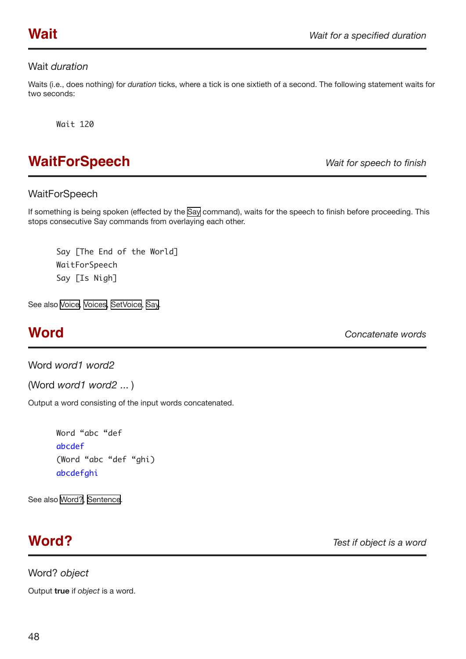## <span id="page-47-1"></span><span id="page-47-0"></span>Wait *duration*

Waits (i.e., does nothing) for *duration* ticks, where a tick is one sixtieth of a second. The following statement waits for two seconds:

Wait 120

## **WaitForSpeech** *Wait for speech to finish*

## **WaitForSpeech**

If something is being spoken (effected by the [Say](#page-35-1) command), waits for the speech to finish before proceeding. This stops consecutive Say commands from overlaying each other.

```
Say [The End of the World]
WaitForSpeech
Say [Is Nigh]
```
See also [Voice](#page-46-1), [Voices](#page-46-2), [SetVoice](#page-40-3), [Say.](#page-35-1)

<span id="page-47-3"></span>**Word** *Concatenate words*

Word *word1 word2*

(Word *word1 word2* ... )

Output a word consisting of the input words concatenated.

```
Word "abc "def 
abcdef 
(Word "abc "def "ghi) 
abcdefghi
```
See also [Word?](#page-47-2), [Sentence.](#page-34-2)

## <span id="page-47-2"></span>**Word?** *Test if object is a word*

Word? *object* 

Output **true** if *object* is a word.